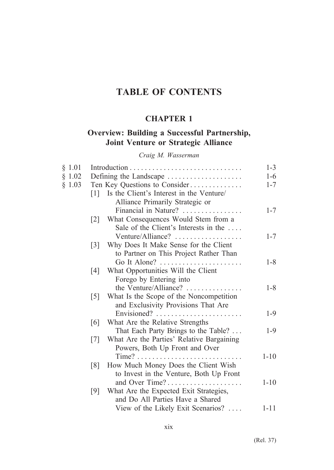# **TABLE OF CONTENTS**

# **CHAPTER 1**

# **Overview: Building a Successful Partnership, Joint Venture or Strategic Alliance**

*Craig M. Wasserman*

| § 1.01 |                   |                                           | $1 - 3$  |
|--------|-------------------|-------------------------------------------|----------|
| \$1.02 |                   | Defining the Landscape                    | $1-6$    |
| § 1.03 |                   | Ten Key Questions to Consider             | $1 - 7$  |
|        | 1                 | Is the Client's Interest in the Venture/  |          |
|        |                   | Alliance Primarily Strategic or           |          |
|        |                   | Financial in Nature?                      | $1 - 7$  |
|        | $\lceil 2 \rceil$ | What Consequences Would Stem from a       |          |
|        |                   | Sale of the Client's Interests in the     |          |
|        |                   | Venture/Alliance?                         | $1 - 7$  |
|        | $\lceil 3 \rceil$ | Why Does It Make Sense for the Client     |          |
|        |                   | to Partner on This Project Rather Than    |          |
|        |                   | Go It Alone?                              | $1 - 8$  |
|        | [4]               | What Opportunities Will the Client        |          |
|        |                   | Forego by Entering into                   |          |
|        |                   | the Venture/Alliance?                     | $1 - 8$  |
|        | $\lceil 5 \rceil$ | What Is the Scope of the Noncompetition   |          |
|        |                   | and Exclusivity Provisions That Are       |          |
|        |                   | Envisioned?                               | $1-9$    |
|        | [6]               | What Are the Relative Strengths           |          |
|        |                   | That Each Party Brings to the Table?      | $1-9$    |
|        | $\lceil 7 \rceil$ | What Are the Parties' Relative Bargaining |          |
|        |                   | Powers, Both Up Front and Over            |          |
|        |                   |                                           | $1 - 10$ |
|        | [8]               | How Much Money Does the Client Wish       |          |
|        |                   | to Invest in the Venture, Both Up Front   |          |
|        |                   | and Over Time?                            | $1 - 10$ |
|        | [9]               | What Are the Expected Exit Strategies,    |          |
|        |                   | and Do All Parties Have a Shared          |          |
|        |                   | View of the Likely Exit Scenarios?        | $1 - 11$ |

(Rel. 37)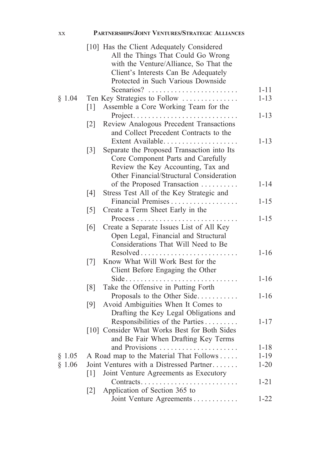| XX     | PARTNERSHIPS/JOINT VENTURES/STRATEGIC ALLIANCES                                                                                                                   |          |
|--------|-------------------------------------------------------------------------------------------------------------------------------------------------------------------|----------|
|        | [10] Has the Client Adequately Considered<br>All the Things That Could Go Wrong<br>with the Venture/Alliance, So That the<br>Client's Interests Can Be Adequately |          |
|        | Protected in Such Various Downside                                                                                                                                |          |
|        | Scenarios?                                                                                                                                                        | $1 - 11$ |
| § 1.04 | Ten Key Strategies to Follow                                                                                                                                      | $1 - 13$ |
|        | Assemble a Core Working Team for the<br>$\lceil 1 \rceil$                                                                                                         | $1 - 13$ |
|        | Project<br>Review Analogous Precedent Transactions<br>$\lceil 2 \rceil$<br>and Collect Precedent Contracts to the                                                 |          |
|        | Extent Available<br>Separate the Proposed Transaction into Its<br>$\lceil 3 \rceil$<br>Core Component Parts and Carefully                                         | $1 - 13$ |
|        | Review the Key Accounting, Tax and                                                                                                                                |          |
|        | Other Financial/Structural Consideration<br>of the Proposed Transaction                                                                                           | $1 - 14$ |
|        | Stress Test All of the Key Strategic and<br>[4]                                                                                                                   |          |
|        | Financial Premises                                                                                                                                                | $1 - 15$ |
|        | Create a Term Sheet Early in the<br>$\lceil 5 \rceil$                                                                                                             |          |
|        | Create a Separate Issues List of All Key<br>[6]<br>Open Legal, Financial and Structural<br>Considerations That Will Need to Be                                    | $1 - 15$ |
|        | Resolved                                                                                                                                                          | $1 - 16$ |
|        | Know What Will Work Best for the<br>$\lceil 7 \rceil$<br>Client Before Engaging the Other                                                                         |          |
|        | $Side \dots \dots$                                                                                                                                                | $1 - 16$ |
|        | [8]<br>Take the Offensive in Putting Forth                                                                                                                        |          |
|        | Proposals to the Other Side                                                                                                                                       | $1 - 16$ |
|        | Avoid Ambiguities When It Comes to<br>[9]                                                                                                                         |          |
|        | Drafting the Key Legal Obligations and                                                                                                                            |          |
|        | Responsibilities of the Parties<br>[10] Consider What Works Best for Both Sides                                                                                   | $1 - 17$ |
|        | and Be Fair When Drafting Key Terms                                                                                                                               |          |
|        | and Provisions                                                                                                                                                    | $1 - 18$ |
| § 1.05 | A Road map to the Material That Follows                                                                                                                           | $1 - 19$ |
| § 1.06 | Joint Ventures with a Distressed Partner                                                                                                                          | $1 - 20$ |
|        | Joint Venture Agreements as Executory<br>$\lceil 1 \rceil$                                                                                                        |          |
|        | Contracts                                                                                                                                                         | $1 - 21$ |
|        | Application of Section 365 to<br>$\lceil 2 \rceil$                                                                                                                |          |
|        | Joint Venture Agreements                                                                                                                                          | $1 - 22$ |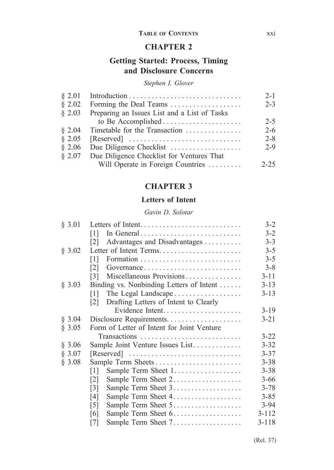### **Table of Contents** xxi

## **CHAPTER 2**

# **Getting Started: Process, Timing and Disclosure Concerns**

### *Stephen I. Glover*

| $\S$ 2.01   |                                              | $2 - 1$  |
|-------------|----------------------------------------------|----------|
| $\S$ 2.02   | Forming the Deal Teams                       | $2 - 3$  |
| $\;8\;2.03$ | Preparing an Issues List and a List of Tasks |          |
|             |                                              | $2 - 5$  |
| $\S$ 2.04   | Timetable for the Transaction                | $2 - 6$  |
| $\S$ 2.05   |                                              | $2 - 8$  |
| \$2.06      | Due Diligence Checklist                      | $2 - 9$  |
| \$2.07      | Due Diligence Checklist for Ventures That    |          |
|             | Will Operate in Foreign Countries            | $2 - 25$ |

### **CHAPTER 3**

### **Letters of Intent**

### *Gavin D. Solotar*

| § 3.01 | Letters of Intent                           | $3 - 2$   |
|--------|---------------------------------------------|-----------|
|        | In General<br>$\lceil 1 \rceil$             | $3 - 2$   |
|        | Advantages and Disadvantages<br>121         | $3 - 3$   |
| § 3.02 | Letter of Intent Terms                      | $3 - 5$   |
|        | [1]                                         | $3 - 5$   |
|        | Governance<br>121                           | $3 - 8$   |
|        | Miscellaneous Provisions<br> 3              | $3 - 11$  |
| § 3.03 | Binding vs. Nonbinding Letters of Intent    | $3 - 13$  |
|        | The Legal Landscape<br>$\lceil 1 \rceil$    | $3 - 13$  |
|        | Drafting Letters of Intent to Clearly<br> 2 |           |
|        |                                             | $3-19$    |
| § 3.04 |                                             | $3 - 21$  |
| § 3.05 | Form of Letter of Intent for Joint Venture  |           |
|        | Transactions                                | $3 - 22$  |
| § 3.06 | Sample Joint Venture Issues List            | $3 - 32$  |
| § 3.07 |                                             | $3 - 37$  |
| § 3.08 | Sample Term Sheets                          | $3 - 38$  |
|        | Sample Term Sheet 1<br>$\lceil 1 \rceil$    | $3 - 38$  |
|        | Sample Term Sheet 2<br>$\lceil 2 \rceil$    | $3 - 66$  |
|        | Sample Term Sheet 3<br>$\lceil 3 \rceil$    | $3 - 78$  |
|        | [4]                                         | $3 - 85$  |
|        | Sample Term Sheet 5<br>$\lceil 5 \rceil$    | $3 - 94$  |
|        | [6]                                         | $3 - 112$ |
|        | [7]                                         | $3 - 118$ |

(Rel. 37)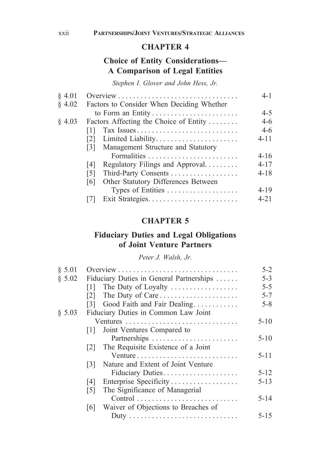# **Choice of Entity Considerations— A Comparison of Legal Entities**

*Stephen I. Glover and John Hess, Jr.*

| § 4.01 |                                            | $4 - 1$  |
|--------|--------------------------------------------|----------|
| § 4.02 | Factors to Consider When Deciding Whether  |          |
|        | to Form an Entity                          | $4 - 5$  |
| § 4.03 | Factors Affecting the Choice of Entity     | $4-6$    |
|        | Tax Issues<br>Ш                            | $4-6$    |
|        | Limited Liability<br>$\lceil 2 \rceil$     | 4-11     |
|        | Management Structure and Statutory<br>131  |          |
|        |                                            | $4 - 16$ |
|        | Regulatory Filings and Approval<br> 4      | $4 - 17$ |
|        | Third-Party Consents<br>[5]                | $4 - 18$ |
|        | Other Statutory Differences Between<br>[6] |          |
|        | Types of Entities                          | $4 - 19$ |
|        |                                            | $4 - 21$ |
|        |                                            |          |

# **CHAPTER 5**

## **Fiduciary Duties and Legal Obligations of Joint Venture Partners**

### *Peter J. Walsh, Jr.*

| § 5.01 |                                            | $5 - 2$  |
|--------|--------------------------------------------|----------|
| \$5.02 | Fiduciary Duties in General Partnerships   | $5 - 3$  |
|        | The Duty of Loyalty<br>$\lceil 1 \rceil$   | $5 - 5$  |
|        | The Duty of Care<br> 2                     | $5 - 7$  |
|        | Good Faith and Fair Dealing<br>131         | $5 - 8$  |
| § 5.03 | Fiduciary Duties in Common Law Joint       |          |
|        |                                            | $5 - 10$ |
|        | Joint Ventures Compared to<br> 1           |          |
|        |                                            | $5 - 10$ |
|        | The Requisite Existence of a Joint<br> 2   |          |
|        |                                            | $5 - 11$ |
|        | Nature and Extent of Joint Venture<br> 3   |          |
|        | Fiduciary Duties                           | $5 - 12$ |
|        | Enterprise Specificity<br>14 I             | $5 - 13$ |
|        | The Significance of Managerial<br>[5]      |          |
|        |                                            | $5 - 14$ |
|        | Waiver of Objections to Breaches of<br>161 |          |
|        |                                            | $5 - 15$ |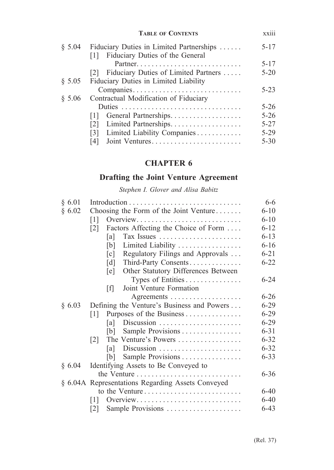|        | <b>TABLE OF CONTENTS</b>                                                        | xxiii    |
|--------|---------------------------------------------------------------------------------|----------|
| \$5.04 | Fiduciary Duties in Limited Partnerships<br>[1] Fiduciary Duties of the General | $5 - 17$ |
|        |                                                                                 | $5 - 17$ |
|        | [2] Fiduciary Duties of Limited Partners                                        | $5 - 20$ |
| \$5.05 | Fiduciary Duties in Limited Liability                                           |          |
|        | Companies                                                                       | $5 - 23$ |
| § 5.06 | Contractual Modification of Fiduciary                                           |          |
|        |                                                                                 | $5 - 26$ |
|        | General Partnerships<br> 1                                                      | $5 - 26$ |
|        | Limited Partnerships<br>$\lceil 2 \rceil$                                       | $5 - 27$ |
|        | Limited Liability Companies<br>$\lceil 3 \rceil$                                | $5-29$   |
|        | Joint Ventures<br>14 I                                                          | $5 - 30$ |

# **Drafting the Joint Venture Agreement**

*Stephen I. Glover and Alisa Babitz*

| § 6.01 |                                                       | 6-6      |
|--------|-------------------------------------------------------|----------|
| § 6.02 | Choosing the Form of the Joint Venture                | $6 - 10$ |
|        | Overview<br>$\lceil 1 \rceil$                         | $6 - 10$ |
|        | Factors Affecting the Choice of Form<br> 2            | $6 - 12$ |
|        | Tax Issues<br>[a]                                     | $6 - 13$ |
|        | Limited Liability<br>[b]                              | $6 - 16$ |
|        | Regulatory Filings and Approvals<br>$\lceil c \rceil$ | $6 - 21$ |
|        | Third-Party Consents<br>$\lceil d \rceil$             | $6 - 22$ |
|        | Other Statutory Differences Between<br>[e]            |          |
|        | Types of Entities                                     | $6 - 24$ |
|        | Joint Venture Formation<br>[f]                        |          |
|        |                                                       | $6 - 26$ |
| § 6.03 | Defining the Venture's Business and Powers            | $6 - 29$ |
|        | Purposes of the Business<br>[1]                       | $6 - 29$ |
|        | Discussion<br>[a]                                     | $6 - 29$ |
|        | Sample Provisions<br> b                               | $6 - 31$ |
|        | The Venture's Powers<br>$\lceil 2 \rceil$             | $6 - 32$ |
|        | Discussion<br>lal I                                   | $6 - 32$ |
|        | Sample Provisions<br> b                               | $6 - 33$ |
| § 6.04 | Identifying Assets to Be Conveyed to                  |          |
|        |                                                       | $6 - 36$ |
|        | § 6.04A Representations Regarding Assets Conveyed     |          |
|        | to the Venture                                        | $6 - 40$ |
|        | $\lceil 1 \rceil$<br>Overview                         | $6 - 40$ |
|        | Sample Provisions<br> 2                               | 6-43     |
|        |                                                       |          |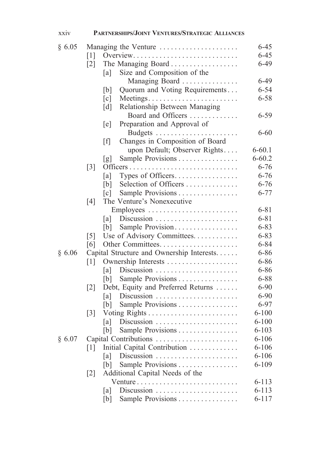| xxiv   | PARTNERSHIPS/JOINT VENTURES/STRATEGIC ALLIANCES         |                      |
|--------|---------------------------------------------------------|----------------------|
| § 6.05 | Managing the Venture                                    | $6 - 45$             |
|        | $\lceil 1 \rceil$<br>Overview                           | $6 - 45$             |
|        | The Managing Board<br>$\lceil 2 \rceil$                 | $6-49$               |
|        | Size and Composition of the<br>[a]                      |                      |
|        | Managing Board                                          | $6-49$               |
|        | Quorum and Voting Requirements<br>[b]                   | $6 - 54$             |
|        | [c]<br>Meetings                                         | $6 - 58$             |
|        | Relationship Between Managing<br>$\lceil d \rceil$      |                      |
|        | Board and Officers                                      | $6 - 59$             |
|        | Preparation and Approval of<br>[e]                      |                      |
|        |                                                         | $6 - 60$             |
|        | Changes in Composition of Board<br>$\lceil f \rceil$    |                      |
|        | upon Default; Observer Rights                           | $6 - 60.1$           |
|        | Sample Provisions<br>[g]                                | $6 - 60.2$           |
|        | $[3]$                                                   | $6 - 76$             |
|        | Types of Officers<br>[a]                                | $6 - 76$             |
|        | Selection of Officers<br>[b]                            | $6 - 76$             |
|        | Sample Provisions<br>$\lceil c \rceil$                  | $6 - 77$             |
|        | The Venture's Nonexecutive<br>[4]                       |                      |
|        |                                                         | $6 - 81$             |
|        | Discussion<br> a                                        | $6 - 81$             |
|        | Sample Provision<br>[b]                                 | $6 - 83$             |
|        | Use of Advisory Committees.<br>$\lceil 5 \rceil$        | $6 - 83$             |
|        | [6]                                                     | $6 - 84$             |
| § 6.06 | Capital Structure and Ownership Interests               | $6 - 86$             |
|        | $\lceil 1 \rceil$                                       | $6 - 86$             |
|        | Discussion<br>[a]                                       | $6 - 86$             |
|        | Sample Provisions<br>[b]                                | $6 - 88$             |
|        | Debt, Equity and Preferred Returns<br>$\lceil 2 \rceil$ | $6 - 90$             |
|        | Discussion<br>[a]                                       | $6 - 90$<br>$6 - 97$ |
|        | Sample Provisions<br>[b]                                | $6 - 100$            |
|        | $\lceil 3 \rceil$<br>Discussion                         | $6 - 100$            |
|        | a <br>Sample Provisions<br>[b]                          | $6 - 103$            |
| § 6.07 | Capital Contributions                                   | $6 - 106$            |
|        | Initial Capital Contribution<br>$\lceil 1 \rceil$       | $6 - 106$            |
|        | Discussion<br>[a]                                       | $6 - 106$            |
|        | Sample Provisions<br>[b]                                | $6 - 109$            |
|        | Additional Capital Needs of the<br>$[2]$                |                      |
|        | Venture                                                 | $6 - 113$            |
|        | Discussion<br>[a]                                       | $6 - 113$            |
|        | Sample Provisions<br>[b]                                | $6 - 117$            |
|        |                                                         |                      |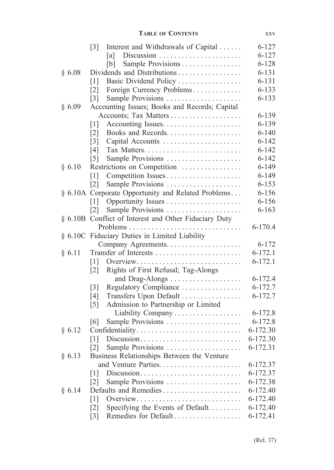| XXV |
|-----|
|     |

|        | Interest and Withdrawals of Capital<br>$\lceil 3 \rceil$ | $6 - 127$   |
|--------|----------------------------------------------------------|-------------|
|        | Discussion<br>[a]                                        | $6 - 127$   |
|        | Sample Provisions<br>[b]                                 | $6 - 128$   |
| § 6.08 | Dividends and Distributions                              | $6 - 131$   |
|        | Basic Dividend Policy<br>$\lceil 1 \rceil$               | $6 - 131$   |
|        | Foreign Currency Problems<br>$\lceil 2 \rceil$           | $6 - 133$   |
|        | Sample Provisions<br>$\lceil 3 \rceil$                   | $6 - 133$   |
| § 6.09 | Accounting Issues; Books and Records; Capital            |             |
|        |                                                          | $6 - 139$   |
|        | [1]                                                      | $6 - 139$   |
|        | Books and Records<br>$\lceil 2 \rceil$                   | $6 - 140$   |
|        | $\lceil 3 \rceil$<br>Capital Accounts                    | $6 - 142$   |
|        | [4]                                                      | $6 - 142$   |
|        | $\lceil 5 \rceil$<br>Sample Provisions                   | $6 - 142$   |
| § 6.10 | Restrictions on Competition                              | $6 - 149$   |
|        | $\lceil 1 \rceil$                                        | $6 - 149$   |
|        | Sample Provisions<br>$\lceil 2 \rceil$                   | $6 - 153$   |
|        | § 6.10A Corporate Opportunity and Related Problems       | $6 - 156$   |
|        | $\lceil 1 \rceil$                                        | $6 - 156$   |
|        | Sample Provisions<br>$\lceil 2 \rceil$                   | $6 - 163$   |
|        | § 6.10B Conflict of Interest and Other Fiduciary Duty    |             |
|        | Problems<br>$\ldots$                                     | $6 - 170.4$ |
|        | § 6.10C Fiduciary Duties in Limited Liability            |             |
|        |                                                          | $6 - 172$   |
| § 6.11 | Transfer of Interests                                    | $6 - 172.1$ |
|        | $\lceil 1 \rceil$<br>Overview                            | $6 - 172.1$ |
|        | Rights of First Refusal; Tag-Alongs<br>$\lceil 2 \rceil$ |             |
|        | and Drag-Alongs                                          | $6 - 172.4$ |
|        | Regulatory Compliance<br>$\lceil 3 \rceil$               | 6-172.7     |
|        | Transfers Upon Default<br>[4]                            | $6 - 172.7$ |
|        | Admission to Partnership or Limited<br>$\lceil 5 \rceil$ |             |
|        | Liability Company                                        | $6 - 172.8$ |
|        | Sample Provisions<br>[6]                                 | $6 - 172.8$ |
| § 6.12 | Confidentiality                                          | 6-172.30    |
|        | Discussion<br>$\lceil 1 \rceil$                          | 6-172.30    |
|        | [2]<br>Sample Provisions                                 | 6-172.31    |
| § 6.13 | Business Relationships Between the Venture               |             |
|        |                                                          | 6-172.37    |
|        | Discussion<br>$\lceil 1 \rceil$                          | 6-172.37    |
|        | $\lceil 2 \rceil$<br>Sample Provisions                   | 6-172.38    |
| § 6.14 | Defaults and Remedies                                    | 6-172.40    |
|        | Overview<br>$\lceil 1 \rceil$                            | 6-172.40    |
|        | Specifying the Events of Default<br>$\lceil 2 \rceil$    | 6-172.40    |
|        | Remedies for Default<br>$\lceil 3 \rceil$                | 6-172.41    |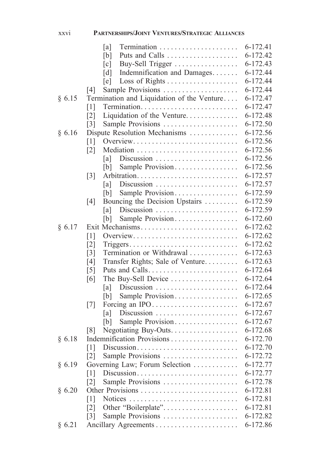|        | [a]                                                                           | 6-172.41 |
|--------|-------------------------------------------------------------------------------|----------|
|        | Puts and Calls<br>[b]                                                         | 6-172.42 |
|        | Buy-Sell Trigger<br>$\lceil c \rceil$                                         | 6-172.43 |
|        | Indemnification and Damages<br>[d]                                            | 6-172.44 |
|        | [e]                                                                           | 6-172.44 |
|        | Sample Provisions<br> 4                                                       | 6-172.44 |
| § 6.15 | Termination and Liquidation of the Venture                                    | 6-172.47 |
|        | [1]                                                                           | 6-172.47 |
|        | Liquidation of the Venture<br>$\lceil 2 \rceil$                               | 6-172.48 |
|        | Sample Provisions<br>$\lceil 3 \rceil$                                        | 6-172.50 |
| § 6.16 | Dispute Resolution Mechanisms                                                 | 6-172.56 |
|        | [1]<br>Overview                                                               | 6-172.56 |
|        | $\lceil 2 \rceil$                                                             | 6-172.56 |
|        | [a]                                                                           | 6-172.56 |
|        | Sample Provision<br>[b]                                                       | 6-172.56 |
|        | $\lceil 3 \rceil$                                                             | 6-172.57 |
|        | Discussion<br> a                                                              | 6-172.57 |
|        | Sample Provision<br>[b]                                                       | 6-172.59 |
|        | Bouncing the Decision Upstairs<br>[4]                                         | 6-172.59 |
|        | Discussion $\ldots \ldots \ldots \ldots \ldots \ldots \ldots$<br>[a]          | 6-172.59 |
|        | Sample Provision<br>[b]                                                       | 6-172.60 |
| § 6.17 | Exit Mechanisms                                                               | 6-172.62 |
|        | [1]<br>Overview                                                               | 6-172.62 |
|        | [2]<br>$Triggers \dots \dots \dots \dots \dots \dots \dots \dots \dots \dots$ | 6-172.62 |
|        | Termination or Withdrawal<br>$\lceil 3 \rceil$                                | 6-172.63 |
|        | [4]<br>Transfer Rights; Sale of Venture                                       | 6-172.63 |
|        | $\lceil 5 \rceil$                                                             | 6-172.64 |
|        | The Buy-Sell Device<br>[6]                                                    | 6-172.64 |
|        | Discussion<br> a                                                              | 6-172.64 |
|        | Sample Provision<br>[b]                                                       | 6-172.65 |
|        | Forcing an IPO<br>$\lceil 7 \rceil$                                           | 6-172.67 |
|        | [a]                                                                           | 6-172.67 |
|        | Sample Provision<br>[b]                                                       | 6-172.67 |
|        | Negotiating Buy-Outs.<br>[8]                                                  | 6-172.68 |
| § 6.18 | Indemnification Provisions                                                    | 6-172.70 |
|        | $\lceil 1 \rceil$<br>Discussion                                               | 6-172.70 |
|        | $\lceil 2 \rceil$<br>Sample Provisions                                        | 6-172.72 |
| § 6.19 | Governing Law; Forum Selection                                                | 6-172.77 |
|        | Discussion<br>$[1]$                                                           | 6-172.77 |
|        | Sample Provisions<br>$\lceil 2 \rceil$                                        | 6-172.78 |
| § 6.20 | Other Provisions                                                              | 6-172.81 |
|        | Notices<br> 1                                                                 | 6-172.81 |
|        | Other "Boilerplate"<br>$\lceil 2 \rceil$                                      | 6-172.81 |
|        | Sample Provisions<br>$\lceil 3 \rceil$                                        | 6-172.82 |
| § 6.21 |                                                                               | 6-172.86 |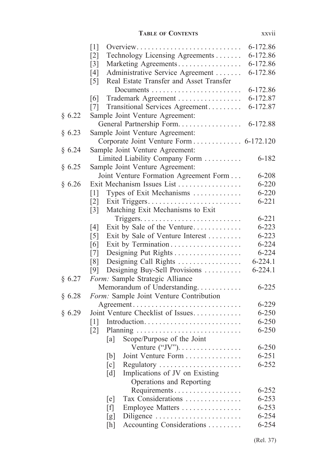### **Table of Contents** xxvii

|        | $\lceil 1 \rceil$<br>Overview                                | 6-172.86    |
|--------|--------------------------------------------------------------|-------------|
|        | Technology Licensing Agreements<br>$\lceil 2 \rceil$         | 6-172.86    |
|        | Marketing Agreements<br>$\lceil 3 \rceil$                    | 6-172.86    |
|        | Administrative Service Agreement<br>[4]                      | 6-172.86    |
|        | Real Estate Transfer and Asset Transfer<br>$\lceil 5 \rceil$ |             |
|        |                                                              | 6-172.86    |
|        | Trademark Agreement<br>[6]                                   | 6-172.87    |
|        | Transitional Services Agreement<br>[7]                       | 6-172.87    |
| § 6.22 | Sample Joint Venture Agreement:                              |             |
|        | General Partnership Form                                     | 6-172.88    |
| § 6.23 | Sample Joint Venture Agreement:                              |             |
|        | Corporate Joint Venture Form 6-172.120                       |             |
| § 6.24 | Sample Joint Venture Agreement:                              |             |
|        | Limited Liability Company Form                               | $6 - 182$   |
| § 6.25 | Sample Joint Venture Agreement:                              |             |
|        | Joint Venture Formation Agreement Form                       | $6 - 208$   |
| § 6.26 | Exit Mechanism Issues List                                   | $6 - 220$   |
|        | Types of Exit Mechanisms<br>[1]                              | $6 - 220$   |
|        | $\lceil 2 \rceil$<br>Exit Triggers                           | $6 - 221$   |
|        | Matching Exit Mechanisms to Exit<br>$\lceil 3 \rceil$        |             |
|        |                                                              | $6 - 221$   |
|        | [4]<br>Exit by Sale of the Venture                           | $6 - 223$   |
|        | $\lceil 5 \rceil$<br>Exit by Sale of Venture Interest        | $6 - 223$   |
|        | [6]                                                          | $6 - 224$   |
|        | Designing Put Rights<br>$\lceil 7 \rceil$                    | $6 - 224$   |
|        | Designing Call Rights<br>$\lceil 8 \rceil$                   | $6 - 224.1$ |
|        | Designing Buy-Sell Provisions<br>[9]                         | $6 - 224.1$ |
| § 6.27 | Form: Sample Strategic Alliance                              |             |
|        | Memorandum of Understanding                                  | $6 - 225$   |
| § 6.28 | Form: Sample Joint Venture Contribution                      |             |
|        | Agreement                                                    | $6 - 229$   |
| § 6.29 | Joint Venture Checklist of Issues                            | $6 - 250$   |
|        | $\lceil 1 \rceil$                                            | $6 - 250$   |
|        | $\lceil 2 \rceil$<br>Planning                                | $6 - 250$   |
|        | Scope/Purpose of the Joint<br>[a]                            |             |
|        |                                                              | $6 - 250$   |
|        | Joint Venture Form<br>[b]                                    | $6 - 251$   |
|        | [c]<br>Regulatory                                            | $6 - 252$   |
|        | Implications of JV on Existing<br>$\lceil d \rceil$          |             |
|        | Operations and Reporting                                     |             |
|        |                                                              | $6 - 252$   |
|        | Tax Considerations<br>[e]                                    | $6 - 253$   |
|        | Employee Matters<br>[f]                                      | $6 - 253$   |
|        | [g]<br>Diligence                                             | $6 - 254$   |
|        | Accounting Considerations<br>[h]                             | $6 - 254$   |
|        |                                                              |             |

(Rel. 37)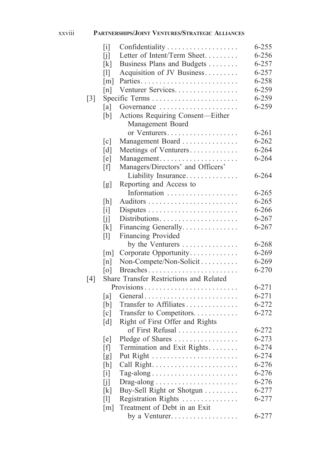| .<br><b>XXV111</b> | <b>PARTNERSHIPS/JOINT VENTURES/STRATEGIC ALLIANCES</b> |
|--------------------|--------------------------------------------------------|
|--------------------|--------------------------------------------------------|

|                   | $\lceil i \rceil$          | Confidentiality                         | $6 - 255$ |
|-------------------|----------------------------|-----------------------------------------|-----------|
|                   | [j]                        | Letter of Intent/Term Sheet             | $6 - 256$ |
|                   | $\lceil k \rceil$          | Business Plans and Budgets              | 6-257     |
|                   | $\lceil \mathbf{l} \rceil$ | Acquisition of JV Business              | 6-257     |
|                   | $\lceil m \rceil$          |                                         | 6-258     |
|                   | [n]                        | Venturer Services.                      | 6-259     |
| $\lceil 3 \rceil$ |                            |                                         | 6-259     |
|                   | [a]                        | Governance                              | 6-259     |
|                   | [b]                        | Actions Requiring Consent-Either        |           |
|                   |                            | Management Board                        |           |
|                   |                            | or Venturers                            | $6 - 261$ |
|                   | [c]                        | Management Board                        | $6 - 262$ |
|                   | [d]                        | Meetings of Venturers                   | $6 - 264$ |
|                   | [e]                        | Management                              | $6 - 264$ |
|                   | [f]                        | Managers/Directors' and Officers'       |           |
|                   |                            | Liability Insurance                     | $6 - 264$ |
|                   | [g]                        | Reporting and Access to                 |           |
|                   |                            | Information                             | $6 - 265$ |
|                   | [h]                        |                                         | $6 - 265$ |
|                   | $\lceil i \rceil$          |                                         | $6 - 266$ |
|                   | [j]                        | Distributions                           | $6 - 267$ |
|                   | $\lceil k \rceil$          | Financing Generally                     | $6 - 267$ |
|                   | $\lceil \mathbf{l} \rceil$ | Financing Provided                      |           |
|                   |                            | by the Venturers                        | $6 - 268$ |
|                   | $\lceil m \rceil$          | Corporate Opportunity                   | $6 - 269$ |
|                   | $\lceil n \rceil$          | Non-Compete/Non-Solicit                 | $6 - 269$ |
|                   | $\lceil$ o]                | Breaches<br>.                           | 6-270     |
| $\lceil 4 \rceil$ |                            | Share Transfer Restrictions and Related |           |
|                   |                            |                                         | $6 - 271$ |
|                   | [a]                        | General                                 | $6 - 271$ |
|                   | [b]                        | Transfer to Affiliates                  | $6 - 272$ |
|                   | $\lceil c \rceil$          | Transfer to Competitors.                | $6 - 272$ |
|                   | [d]                        | Right of First Offer and Rights         |           |
|                   |                            | of First Refusal                        | $6 - 272$ |
|                   | [e]                        | Pledge of Shares                        | $6 - 273$ |
|                   | ſfΙ                        | Termination and Exit Rights             | $6 - 274$ |
|                   | [g]                        |                                         | $6 - 274$ |
|                   | $[h]$                      |                                         | 6-276     |
|                   | $\lceil i \rceil$          |                                         | 6-276     |
|                   | [j]                        |                                         | $6 - 276$ |
|                   | $\lceil k \rceil$          | Buy-Sell Right or Shotgun               | 6-277     |
|                   | $\lceil \mathbf{l} \rceil$ | Registration Rights                     | 6-277     |
|                   | $\lceil m \rceil$          | Treatment of Debt in an Exit            |           |
|                   |                            | by a Venturer                           | 6-277     |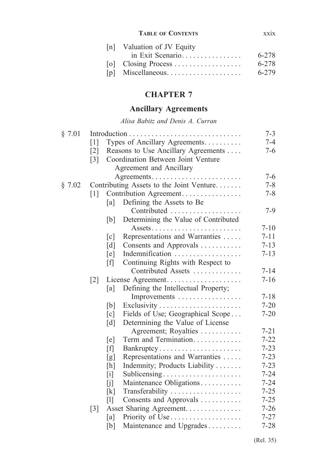### **Table of Contents** xxix

| [n] Valuation of JV Equity |       |
|----------------------------|-------|
| in Exit Scenario           | 6-278 |
|                            | 6-278 |
| $[p]$ Miscellaneous        | 6-279 |
|                            |       |

# **CHAPTER 7**

# **Ancillary Agreements**

*Alisa Babitz and Denis A. Curran*

| § 7.01 |                   |                            |                                          | $7 - 3$  |
|--------|-------------------|----------------------------|------------------------------------------|----------|
|        | $\lceil 1 \rceil$ |                            | Types of Ancillary Agreements.           | $7 - 4$  |
|        | $\lceil 2 \rceil$ |                            | Reasons to Use Ancillary Agreements      | $7-6$    |
|        | $\lceil 3 \rceil$ |                            | Coordination Between Joint Venture       |          |
|        |                   |                            | Agreement and Ancillary                  |          |
|        |                   |                            |                                          | $7 - 6$  |
| § 7.02 |                   |                            | Contributing Assets to the Joint Venture | $7 - 8$  |
|        | $\lceil 1 \rceil$ |                            | Contribution Agreement                   | $7 - 8$  |
|        |                   | [a]                        | Defining the Assets to Be                |          |
|        |                   |                            | Contributed                              | $7-9$    |
|        |                   | [b]                        | Determining the Value of Contributed     |          |
|        |                   |                            |                                          | $7 - 10$ |
|        |                   | $\lceil c \rceil$          | Representations and Warranties           | $7 - 11$ |
|        |                   | [d]                        | Consents and Approvals                   | $7 - 13$ |
|        |                   | [e]                        | Indemnification                          | $7 - 13$ |
|        |                   | [f]                        | Continuing Rights with Respect to        |          |
|        |                   |                            | Contributed Assets                       | $7 - 14$ |
|        | $[2]$             |                            | License Agreement                        | $7 - 16$ |
|        |                   | [a]                        | Defining the Intellectual Property;      |          |
|        |                   |                            | Improvements                             | $7 - 18$ |
|        |                   | [b]                        |                                          | $7 - 20$ |
|        |                   | [c]                        | Fields of Use; Geographical Scope        | $7 - 20$ |
|        |                   | [d]                        | Determining the Value of License         |          |
|        |                   |                            | Agreement; Royalties                     | $7 - 21$ |
|        |                   | [e]                        | Term and Termination                     | $7 - 22$ |
|        |                   | [f]                        | Bankruptcy                               | $7 - 23$ |
|        |                   | [g]                        | Representations and Warranties           | $7 - 23$ |
|        |                   | [h]                        | Indemnity; Products Liability            | $7 - 23$ |
|        |                   | $[$                        | Sublicensing                             | $7 - 24$ |
|        |                   | [j]                        | Maintenance Obligations                  | $7 - 24$ |
|        |                   | [k]                        | Transferability                          | $7 - 25$ |
|        |                   | $\lceil \mathbf{l} \rceil$ | Consents and Approvals                   | $7 - 25$ |
|        | $\lceil 3 \rceil$ |                            | Asset Sharing Agreement.                 | $7 - 26$ |
|        |                   | [a]                        |                                          | $7 - 27$ |
|        |                   | [b]                        | Maintenance and Upgrades                 | $7 - 28$ |
|        |                   |                            |                                          |          |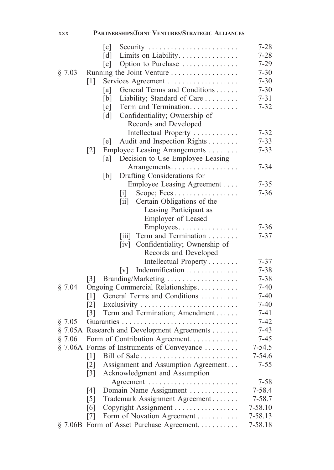|         | $\lceil c \rceil$<br>Security                                                 | $7 - 28$             |
|---------|-------------------------------------------------------------------------------|----------------------|
|         | [d]<br>Limits on Liability                                                    | $7 - 28$             |
|         | Option to Purchase<br>[e]                                                     | $7 - 29$             |
| § 7.03  | Running the Joint Venture                                                     | $7 - 30$             |
|         | Services Agreement<br>$\lceil 1 \rceil$                                       | $7 - 30$             |
|         | General Terms and Conditions<br>[a]                                           | $7 - 30$             |
|         | Liability; Standard of Care<br>[b]                                            | $7 - 31$             |
|         | $\lceil c \rceil$<br>Term and Termination                                     | $7 - 32$             |
|         | Confidentiality; Ownership of<br>$\lceil d \rceil$                            |                      |
|         | Records and Developed                                                         |                      |
|         | Intellectual Property                                                         | $7 - 32$             |
|         | Audit and Inspection Rights<br>[e]                                            | $7 - 33$             |
|         | Employee Leasing Arrangements<br>$\lceil 2 \rceil$                            | $7 - 33$             |
|         | Decision to Use Employee Leasing<br>[a]                                       |                      |
|         | Arrangements                                                                  | $7 - 34$             |
|         | Drafting Considerations for<br>[b]                                            |                      |
|         | Employee Leasing Agreement                                                    | $7 - 35$             |
|         | Scope; Fees<br>$\lceil i \rceil$                                              | $7 - 36$             |
|         | Certain Obligations of the<br>$\left\lceil \text{i} \mathbf{i} \right\rceil$  |                      |
|         | Leasing Participant as                                                        |                      |
|         | Employer of Leased                                                            |                      |
|         | Employees                                                                     | $7 - 36$             |
|         | Term and Termination<br>$\left\lceil \text{i} \text{i} \text{i} \right\rceil$ | $7 - 37$             |
|         | Confidentiality; Ownership of<br>$\lceil iv \rceil$                           |                      |
|         | Records and Developed                                                         |                      |
|         | Intellectual Property                                                         | $7 - 37$             |
|         | Indemnification<br>$\lceil v \rceil$                                          | $7 - 38$             |
|         | Branding/Marketing<br>$\lceil 3 \rceil$                                       | $7 - 38$             |
| § 7.04  | Ongoing Commercial Relationships                                              | $7 - 40$             |
|         | General Terms and Conditions<br>$\lceil 1 \rceil$                             | $7 - 40$             |
|         | Exclusivity<br>$\lceil 2 \rceil$<br>Term and Termination; Amendment           | $7 - 40$<br>$7 - 41$ |
| § 7.05  | $\lceil 3 \rceil$                                                             | $7 - 42$             |
|         |                                                                               | $7 - 43$             |
| § 7.06  | § 7.05A Research and Development Agreements<br>Form of Contribution Agreement | $7 - 45$             |
|         | $\S$ 7.06A Forms of Instruments of Conveyance                                 | $7 - 54.5$           |
|         | Bill of Sale<br>$\lceil 1 \rceil$                                             | 7-54.6               |
|         | Assignment and Assumption Agreement<br>$\lceil 2 \rceil$                      | $7 - 55$             |
|         | Acknowledgment and Assumption<br>$\lceil 3 \rceil$                            |                      |
|         | Agreement                                                                     | $7 - 58$             |
|         | Domain Name Assignment<br>[4]                                                 | 7-58.4               |
|         | $\lceil 5 \rceil$<br>Trademark Assignment Agreement                           | $7 - 58.7$           |
|         | [6]<br>Copyright Assignment                                                   | 7-58.10              |
|         | Form of Novation Agreement<br>$\lceil 7 \rceil$                               | 7-58.13              |
| § 7.06B | Form of Asset Purchase Agreement                                              | 7-58.18              |

xxx **Partnerships/Joint Ventures/Strategic Alliances**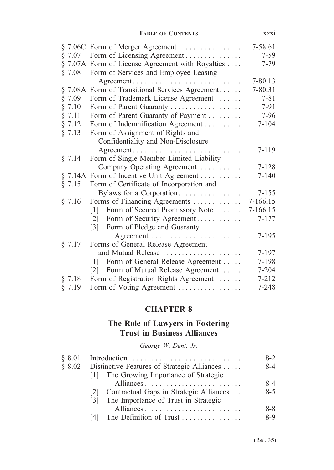### **Table of Contents** xxxi

|           | § 7.06C Form of Merger Agreement                       | 7-58.61   |
|-----------|--------------------------------------------------------|-----------|
| $\S$ 7.07 | Form of Licensing Agreement                            | $7 - 59$  |
|           | § 7.07A Form of License Agreement with Royalties       | $7 - 79$  |
| § 7.08    | Form of Services and Employee Leasing                  |           |
|           |                                                        | 7-80.13   |
|           | § 7.08A Form of Transitional Services Agreement        | 7-80.31   |
| § 7.09    | Form of Trademark License Agreement                    | $7 - 81$  |
| § 7.10    | Form of Parent Guaranty                                | 7-91      |
| § 7.11    | Form of Parent Guaranty of Payment                     | $7 - 96$  |
| § 7.12    | Form of Indemnification Agreement                      | $7 - 104$ |
| § 7.13    | Form of Assignment of Rights and                       |           |
|           | Confidentiality and Non-Disclosure                     |           |
|           | Agreement                                              | $7 - 119$ |
| § 7.14    | Form of Single-Member Limited Liability                |           |
|           | Company Operating Agreement                            | $7 - 128$ |
|           | § 7.14A Form of Incentive Unit Agreement               | $7 - 140$ |
| § 7.15    | Form of Certificate of Incorporation and               |           |
|           | Bylaws for a Corporation                               | $7 - 155$ |
| § 7.16    | Forms of Financing Agreements                          | 7-166.15  |
|           | Form of Secured Promissory Note<br>$\lceil 1 \rceil$   | 7-166.15  |
|           | Form of Security Agreement<br>$\lceil 2 \rceil$        | $7 - 177$ |
|           | [3] Form of Pledge and Guaranty                        |           |
|           |                                                        | $7 - 195$ |
| § 7.17    | Forms of General Release Agreement                     |           |
|           | and Mutual Release                                     | 7-197     |
|           | Form of General Release Agreement<br>$\lceil 1 \rceil$ | 7-198     |
|           | Form of Mutual Release Agreement<br>$\lceil 2 \rceil$  | 7-204     |
| § 7.18    | Form of Registration Rights Agreement                  | $7 - 212$ |
| § 7.19    | Form of Voting Agreement                               | $7 - 248$ |

# **CHAPTER 8**

## **The Role of Lawyers in Fostering Trust in Business Alliances**

*George W. Dent, Jr.*

| § 8.01 |                                                | $8-2$   |
|--------|------------------------------------------------|---------|
| \$8.02 | Distinctive Features of Strategic Alliances    | 8-4     |
|        | [1] The Growing Importance of Strategic        |         |
|        | Alliances                                      | 8-4     |
|        | Contractual Gaps in Strategic Alliances<br>121 | $8 - 5$ |
|        | The Importance of Trust in Strategic<br> 3     |         |
|        | Alliances                                      | $8 - 8$ |
|        |                                                | $8-9$   |
|        |                                                |         |

(Rel. 35)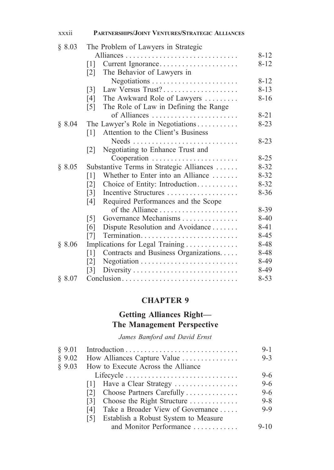| § 8.03 | The Problem of Lawyers in Strategic                        |          |
|--------|------------------------------------------------------------|----------|
|        |                                                            | $8 - 12$ |
|        | Current Ignorance<br>$\lceil 1 \rceil$                     | $8 - 12$ |
|        | The Behavior of Lawyers in<br>$\lceil 2 \rceil$            |          |
|        | Negotiations                                               | $8 - 12$ |
|        | Law Versus Trust?<br>$\lceil 3 \rceil$                     | $8 - 13$ |
|        | The Awkward Role of Lawyers<br>[4]                         | $8 - 16$ |
|        | The Role of Law in Defining the Range<br>$\lceil 5 \rceil$ |          |
|        | of Alliances                                               | $8 - 21$ |
| § 8.04 | The Lawyer's Role in Negotiations                          | $8 - 23$ |
|        | Attention to the Client's Business<br>$\lceil 1 \rceil$    |          |
|        |                                                            | $8 - 23$ |
|        | Negotiating to Enhance Trust and<br>$\lceil 2 \rceil$      |          |
|        |                                                            | $8 - 25$ |
| § 8.05 | Substantive Terms in Strategic Alliances                   | $8 - 32$ |
|        | Whether to Enter into an Alliance<br>$\lceil 1 \rceil$     | $8 - 32$ |
|        |                                                            | $8 - 32$ |
|        | Choice of Entity: Introduction<br>$\lceil 2 \rceil$        | $8 - 36$ |
|        | $\lceil 3 \rceil$<br>Incentive Structures                  |          |
|        | Required Performances and the Scope<br>[4]                 |          |
|        |                                                            | $8-39$   |
|        | Governance Mechanisms<br>$\lceil 5 \rceil$                 | $8 - 40$ |
|        | Dispute Resolution and Avoidance<br>[6]                    | 8-41     |
|        | [7]                                                        | $8 - 45$ |
| § 8.06 | Implications for Legal Training                            | 8-48     |
|        | [1]<br>Contracts and Business Organizations                | 8-48     |
|        | $\lceil 2 \rceil$                                          | 8-49     |
|        | $\lceil 3 \rceil$                                          | $8-49$   |
| § 8.07 | Conclusion                                                 | $8 - 53$ |

xxxii **Partnerships/Joint Ventures/Strategic Alliances**

# **CHAPTER 9**

# **Getting Alliances Right— The Management Perspective**

*James Bamford and David Ernst*

| § 9.01 |                                             | $9-1$    |
|--------|---------------------------------------------|----------|
| § 9.02 | How Alliances Capture Value                 | $9 - 3$  |
| § 9.03 | How to Execute Across the Alliance          |          |
|        | Lifecycle                                   | $9-6$    |
|        | [1] Have a Clear Strategy                   | $9 - 6$  |
|        | Choose Partners Carefully<br>121            | $9 - 6$  |
|        | Choose the Right Structure<br>131           | $9 - 8$  |
|        | Take a Broader View of Governance<br>14 I   | $9 - 9$  |
|        | Establish a Robust System to Measure<br>151 |          |
|        | and Monitor Performance                     | $9 - 10$ |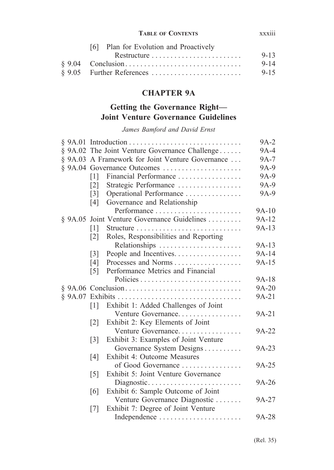### **Table of Contents** xxxiii

| [6] Plan for Evolution and Proactively |          |
|----------------------------------------|----------|
|                                        | $9 - 13$ |
|                                        | $9 - 14$ |
|                                        | $9 - 15$ |

# **CHAPTER 9A**

# **Getting the Governance Right— Joint Venture Governance Guidelines**

*James Bamford and David Ernst*

|                                                            | $9A-2$  |
|------------------------------------------------------------|---------|
| § 9A.02 The Joint Venture Governance Challenge             | 9A-4    |
| § 9A.03 A Framework for Joint Venture Governance           | 9A-7    |
| $§$ 9A.04 Governance Outcomes                              | 9A-9    |
| Financial Performance<br>$\lceil 1 \rceil$                 | 9A-9    |
| $\lceil 2 \rceil$<br>Strategic Performance                 | 9A-9    |
| Operational Performance<br>$\lceil 3 \rceil$               | 9A-9    |
| Governance and Relationship<br>[4]                         |         |
| Performance                                                | 9A-10   |
| § 9A.05 Joint Venture Governance Guidelines                | 9A-12   |
| $\lceil 1 \rceil$                                          | $9A-13$ |
| Roles, Responsibilities and Reporting<br>$\lceil 2 \rceil$ |         |
| Relationships                                              | 9A-13   |
| People and Incentives.<br>$\lceil 3 \rceil$                | 9A-14   |
| Processes and Norms<br>[4]                                 | 9A-15   |
| Performance Metrics and Financial<br>$\lceil 5 \rceil$     |         |
|                                                            | 9A-18   |
|                                                            | 9A-20   |
|                                                            | 9A-21   |
| Exhibit 1: Added Challenges of Joint<br>$\lceil 1 \rceil$  |         |
| Venture Governance                                         | 9A-21   |
| Exhibit 2: Key Elements of Joint<br>$\lceil 2 \rceil$      |         |
| Venture Governance                                         | 9A-22   |
| Exhibit 3: Examples of Joint Venture<br>$\lceil 3 \rceil$  |         |
| Governance System Designs                                  | 9A-23   |
| <b>Exhibit 4: Outcome Measures</b><br>[4]                  |         |
| of Good Governance                                         | 9A-25   |
| Exhibit 5: Joint Venture Governance<br>$\lceil 5 \rceil$   |         |
|                                                            | 9A-26   |
| Exhibit 6: Sample Outcome of Joint<br>[6]                  |         |
| Venture Governance Diagnostic                              | 9A-27   |
| Exhibit 7: Degree of Joint Venture<br>$\lceil 7 \rceil$    |         |
| Independence                                               | 9A-28   |

(Rel. 35)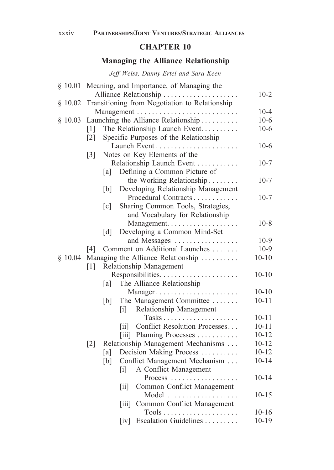## **Managing the Alliance Relationship**

*Jeff Weiss, Danny Ertel and Sara Keen*

| \$10.01 |                   |                                      | Meaning, and Importance, of Managing the          |           |
|---------|-------------------|--------------------------------------|---------------------------------------------------|-----------|
|         |                   |                                      | Alliance Relationship                             | $10 - 2$  |
| \$10.02 |                   |                                      | Transitioning from Negotiation to Relationship    |           |
|         |                   |                                      |                                                   | $10 - 4$  |
| \$10.03 |                   |                                      | Launching the Alliance Relationship               | $10-6$    |
|         | $\lceil 1 \rceil$ |                                      | The Relationship Launch Event                     | $10-6$    |
|         | $\lceil 2 \rceil$ |                                      | Specific Purposes of the Relationship             |           |
|         |                   |                                      |                                                   | $10-6$    |
|         | $\lceil 3 \rceil$ |                                      | Notes on Key Elements of the                      |           |
|         |                   |                                      | Relationship Launch Event                         | $10 - 7$  |
|         | [a]               |                                      | Defining a Common Picture of                      |           |
|         |                   |                                      | the Working Relationship                          | $10-7$    |
|         | [b]               |                                      | Developing Relationship Management                |           |
|         |                   |                                      | Procedural Contracts                              | $10-7$    |
|         | $\lceil c \rceil$ |                                      | Sharing Common Tools, Strategies,                 |           |
|         |                   |                                      | and Vocabulary for Relationship                   |           |
|         |                   |                                      | Management.                                       | $10-8$    |
|         | $\lceil d \rceil$ |                                      | Developing a Common Mind-Set                      |           |
|         |                   |                                      | and Messages                                      | $10-9$    |
|         | [4]               |                                      | Comment on Additional Launches                    | $10-9$    |
| \$10.04 |                   |                                      | Managing the Alliance Relationship                | $10 - 10$ |
|         | $\lceil 1 \rceil$ |                                      | Relationship Management                           |           |
|         |                   |                                      | Responsibilities                                  | $10 - 10$ |
|         | [a]               |                                      | The Alliance Relationship                         |           |
|         |                   |                                      | Manager                                           | $10 - 10$ |
|         | [b]               |                                      | The Management Committee                          | $10 - 11$ |
|         |                   | $\begin{bmatrix} i \end{bmatrix}$    | Relationship Management                           |           |
|         |                   |                                      |                                                   | $10 - 11$ |
|         |                   | 11                                   | Conflict Resolution Processes                     | $10 - 11$ |
|         |                   |                                      | [iii] Planning Processes                          | $10 - 12$ |
|         | $\lceil 2 \rceil$ |                                      | Relationship Management Mechanisms                | $10 - 12$ |
|         | [a]               |                                      | Decision Making Process                           | $10 - 12$ |
|         | [b]               |                                      | Conflict Management Mechanism                     | $10 - 14$ |
|         |                   | $\left[ \mathrm{i} \right]$          | A Conflict Management                             |           |
|         |                   |                                      | Process                                           | $10 - 14$ |
|         |                   | $\left[\text{iii}\right]$            | Common Conflict Management                        |           |
|         |                   |                                      | Model                                             | $10 - 15$ |
|         |                   | $\left[\overline{\text{iii}}\right]$ | Common Conflict Management                        |           |
|         |                   |                                      | $Tools \ldots \ldots \ldots \ldots \ldots \ldots$ | $10 - 16$ |
|         |                   | $\lceil \mathrm{iv} \rceil$          | Escalation Guidelines                             | $10 - 19$ |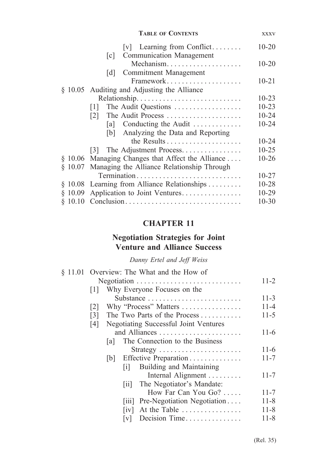|         | <b>TABLE OF CONTENTS</b>                                                             | <b>XXXV</b> |
|---------|--------------------------------------------------------------------------------------|-------------|
|         | $[v]$ Learning from Conflict<br><b>Communication Management</b><br>$\lceil c \rceil$ | $10 - 20$   |
|         | Mechanism                                                                            | $10 - 20$   |
|         | Commitment Management<br> d                                                          |             |
|         | Framework                                                                            | $10 - 21$   |
|         | § 10.05 Auditing and Adjusting the Alliance                                          |             |
|         | Relationship                                                                         | $10 - 23$   |
|         | The Audit Questions<br> 1                                                            | $10 - 23$   |
|         | The Audit Process<br> 2                                                              | $10 - 24$   |
|         | [a] Conducting the Audit                                                             | $10 - 24$   |
|         | [b] Analyzing the Data and Reporting                                                 |             |
|         |                                                                                      | $10 - 24$   |
|         | [3] The Adjustment Process                                                           | $10 - 25$   |
|         | § 10.06 Managing Changes that Affect the Alliance                                    | $10 - 26$   |
|         | § 10.07 Managing the Alliance Relationship Through                                   |             |
|         | Termination                                                                          | $10 - 27$   |
|         | $§$ 10.08 Learning from Alliance Relationships                                       | 10-28       |
| \$10.09 | Application to Joint Ventures                                                        | 10-29       |
|         |                                                                                      | $10 - 30$   |

## **Negotiation Strategies for Joint Venture and Alliance Success**

*Danny Ertel and Jeff Weiss*

|                   |      |                    | § 11.01 Overview: The What and the How of            |          |
|-------------------|------|--------------------|------------------------------------------------------|----------|
|                   |      |                    |                                                      | $11 - 2$ |
| 1                 |      |                    | Why Everyone Focuses on the                          |          |
|                   |      |                    | Substance                                            | $11 - 3$ |
| 2                 |      |                    | Why "Process" Matters                                | 11-4     |
| $\lceil 3 \rceil$ |      |                    | The Two Parts of the Process                         | $11 - 5$ |
| [4]               |      |                    | Negotiating Successful Joint Ventures                |          |
|                   |      |                    |                                                      | $11-6$   |
|                   | lal. |                    | The Connection to the Business                       |          |
|                   |      |                    | Strategy $\dots \dots \dots \dots \dots \dots \dots$ | $11-6$   |
|                   | b    |                    | Effective Preparation                                | $11 - 7$ |
|                   |      | 1                  | Building and Maintaining                             |          |
|                   |      |                    | Internal Alignment                                   | $11 - 7$ |
|                   |      | $\vert$ 11 $\vert$ | The Negotiator's Mandate:                            |          |
|                   |      |                    | How Far Can You Go?                                  | $11 - 7$ |
|                   |      |                    | [iii] Pre-Negotiation Negotiation                    | 11-8     |
|                   |      | 1V                 | At the Table                                         | $11 - 8$ |
|                   |      | V                  | Decision Time                                        | 11-8     |
|                   |      |                    |                                                      |          |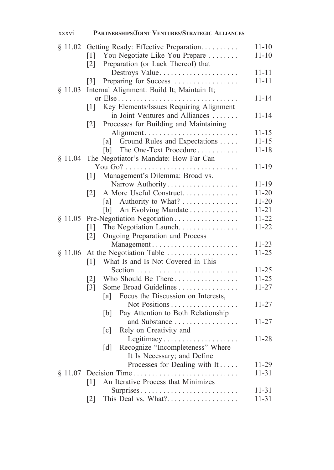| xxxvi   | PARTNERSHIPS/JOINT VENTURES/STRATEGIC ALLIANCES                                |                    |
|---------|--------------------------------------------------------------------------------|--------------------|
|         | § 11.02 Getting Ready: Effective Preparation.                                  | $11 - 10$          |
|         | [1] You Negotiate Like You Prepare                                             | $11 - 10$          |
|         | Preparation (or Lack Thereof) that<br>$\lceil 2 \rceil$                        | $11 - 11$          |
|         | Destroys Value<br>Preparing for Success<br> 3                                  | $11 - 11$          |
| § 11.03 | Internal Alignment: Build It; Maintain It;                                     |                    |
|         |                                                                                | $11 - 14$          |
|         | Key Elements/Issues Requiring Alignment<br>$\lceil 1 \rceil$                   |                    |
|         | in Joint Ventures and Alliances                                                | 11-14              |
|         | Processes for Building and Maintaining<br>$\lceil 2 \rceil$                    |                    |
|         | Alignment                                                                      | $11 - 15$          |
|         | [a] Ground Rules and Expectations                                              | $11 - 15$          |
|         | The One-Text Procedure<br>[b]<br>§ 11.04 The Negotiator's Mandate: How Far Can | $11 - 18$          |
|         |                                                                                | $11 - 19$          |
|         | Management's Dilemma: Broad vs.<br>$\lceil 1 \rceil$                           |                    |
|         | Narrow Authority                                                               | 11-19              |
|         | A More Useful Construct<br>$\lceil 2 \rceil$                                   | $11 - 20$          |
|         | [a] Authority to What?                                                         | $11 - 20$          |
|         | An Evolving Mandate<br>[b]                                                     | 11-21              |
|         | § 11.05 Pre-Negotiation Negotiation                                            | 11-22              |
|         | The Negotiation Launch<br>$\lceil 1 \rceil$                                    | $11 - 22$          |
|         | Ongoing Preparation and Process<br>$\lceil 2 \rceil$                           |                    |
|         |                                                                                | $11 - 23$          |
|         | $§$ 11.06 At the Negotiation Table $\dots \dots \dots \dots \dots$             | $11 - 25$          |
|         | What Is and Is Not Covered in This<br>$\lceil 1 \rceil$                        | $11 - 25$          |
|         | Who Should Be There<br>$\lceil 2 \rceil$                                       | $11 - 25$          |
|         | Some Broad Guidelines<br>$\lceil 3 \rceil$                                     | $11 - 27$          |
|         | Focus the Discussion on Interests,<br>[a]                                      |                    |
|         | Not Positions                                                                  | $11 - 27$          |
|         | Pay Attention to Both Relationship<br>[b]                                      |                    |
|         | and Substance                                                                  | $11 - 27$          |
|         | Rely on Creativity and<br>$\lceil c \rceil$                                    |                    |
|         | Legitimacy                                                                     | $11 - 28$          |
|         | Recognize "Incompleteness" Where<br>$\lceil d \rceil$                          |                    |
|         | It Is Necessary; and Define<br>Processes for Dealing with It                   |                    |
|         | $§$ 11.07 Decision Time                                                        | 11-29<br>$11 - 31$ |
|         | An Iterative Process that Minimizes<br>$\lceil 1 \rceil$                       |                    |
|         | Surprises                                                                      | $11 - 31$          |
|         | This Deal vs. What?<br>$\lceil 2 \rceil$                                       | $11 - 31$          |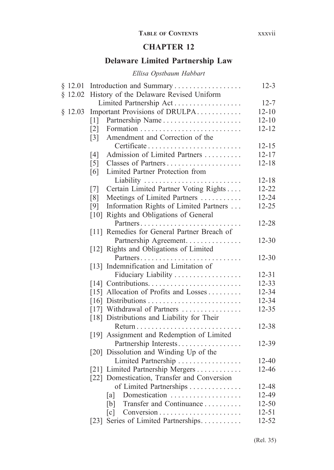### **Table of Contents** xxxvii

### **CHAPTER 12**

## **Delaware Limited Partnership Law**

### *Ellisa Opstbaum Habbart*

| \$12.01 | Introduction and Summary                             | $12 - 3$  |
|---------|------------------------------------------------------|-----------|
| \$12.02 | History of the Delaware Revised Uniform              |           |
|         | Limited Partnership Act                              | $12 - 7$  |
| \$12.03 | Important Provisions of DRULPA                       | $12 - 10$ |
|         | Partnership Name<br>$\lceil 1 \rceil$                | $12 - 10$ |
|         | $\lceil 2 \rceil$                                    | $12 - 12$ |
|         | Amendment and Correction of the<br>$\lceil 3 \rceil$ |           |
|         |                                                      | $12 - 15$ |
|         | Admission of Limited Partners<br>[4]                 | $12 - 17$ |
|         | $\lceil 5 \rceil$<br>Classes of Partners             | $12 - 18$ |
|         | Limited Partner Protection from<br>[6]               |           |
|         | Liability                                            | $12 - 18$ |
|         | Certain Limited Partner Voting Rights<br>[7]         | $12 - 22$ |
|         | Meetings of Limited Partners<br>[8]                  | 12-24     |
|         | Information Rights of Limited Partners<br>[9]        | 12-25     |
|         | [10] Rights and Obligations of General               |           |
|         | Partners                                             | 12-28     |
|         | [11] Remedies for General Partner Breach of          |           |
|         | Partnership Agreement.                               | $12 - 30$ |
|         | [12] Rights and Obligations of Limited               |           |
|         | Partners                                             | $12 - 30$ |
|         | [13] Indemnification and Limitation of               |           |
|         | Fiduciary Liability                                  | $12 - 31$ |
|         |                                                      | $12 - 33$ |
|         | [15] Allocation of Profits and Losses                | 12-34     |
|         |                                                      | 12-34     |
|         | [17] Withdrawal of Partners                          | $12 - 35$ |
|         | [18] Distributions and Liability for Their           |           |
|         |                                                      | 12-38     |
|         | [19] Assignment and Redemption of Limited            |           |
|         | Partnership Interests                                | 12-39     |
|         | [20] Dissolution and Winding Up of the               |           |
|         | Limited Partnership                                  | $12 - 40$ |
|         | [21] Limited Partnership Mergers                     | $12 - 46$ |
|         | [22] Domestication, Transfer and Conversion          |           |
|         | of Limited Partnerships                              | 12-48     |
|         | Domestication<br>[a]                                 | 12-49     |
|         | Transfer and Continuance<br>[b]                      | $12 - 50$ |
|         | $\lceil c \rceil$                                    | $12 - 51$ |
|         | [23] Series of Limited Partnerships                  | 12-52     |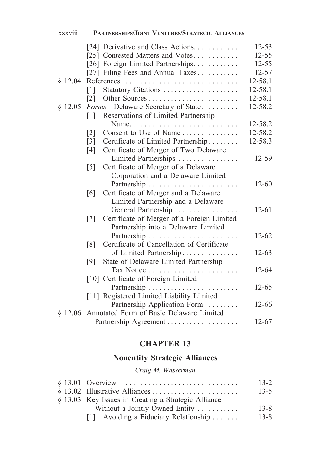|         | [24] Derivative and Class Actions                               | $12 - 53$ |
|---------|-----------------------------------------------------------------|-----------|
|         | [25] Contested Matters and Votes                                | $12 - 55$ |
|         | [26] Foreign Limited Partnerships                               | $12 - 55$ |
|         | [27] Filing Fees and Annual Taxes                               | $12 - 57$ |
| \$12.04 |                                                                 | 12-58.1   |
|         | Statutory Citations<br>$\lceil 1 \rceil$                        | 12-58.1   |
|         | $\lceil 2 \rceil$                                               | 12-58.1   |
| \$12.05 | Forms-Delaware Secretary of State                               | 12-58.2   |
|         | Reservations of Limited Partnership<br>$\lceil 1 \rceil$        |           |
|         |                                                                 | 12-58.2   |
|         | Consent to Use of Name<br>$\lceil 2 \rceil$                     | 12-58.2   |
|         | Certificate of Limited Partnership<br>$\lceil 3 \rceil$         | 12-58.3   |
|         | Certificate of Merger of Two Delaware<br>$\lceil 4 \rceil$      |           |
|         | Limited Partnerships                                            | 12-59     |
|         | Certificate of Merger of a Delaware<br>$\lceil 5 \rceil$        |           |
|         | Corporation and a Delaware Limited                              |           |
|         |                                                                 | $12 - 60$ |
|         | Certificate of Merger and a Delaware<br>$\lceil 6 \rceil$       |           |
|         | Limited Partnership and a Delaware                              |           |
|         | General Partnership                                             | $12 - 61$ |
|         | Certificate of Merger of a Foreign Limited<br>$\lceil 7 \rceil$ |           |
|         | Partnership into a Delaware Limited                             |           |
|         |                                                                 | $12 - 62$ |
|         | Certificate of Cancellation of Certificate<br>$\lceil 8 \rceil$ |           |
|         |                                                                 | $12 - 63$ |
|         | of Limited Partnership                                          |           |
|         | State of Delaware Limited Partnership<br>[9]                    |           |
|         | Tax Notice                                                      | 12-64     |
|         | [10] Certificate of Foreign Limited                             |           |
|         | Partnership                                                     | $12 - 65$ |
|         | [11] Registered Limited Liability Limited                       |           |
|         | Partnership Application Form                                    | 12-66     |
| \$12.06 | Annotated Form of Basic Delaware Limited                        |           |
|         |                                                                 | $12 - 67$ |

xxxviii **Partnerships/Joint Ventures/Strategic Alliances**

# **CHAPTER 13**

# **Nonentity Strategic Alliances**

## *Craig M. Wasserman*

|                                                     | $13 - 2$ |
|-----------------------------------------------------|----------|
|                                                     | $13 - 5$ |
| § 13.03 Key Issues in Creating a Strategic Alliance |          |
| Without a Jointly Owned Entity                      | $13 - 8$ |
| [1] Avoiding a Fiduciary Relationship               | $13 - 8$ |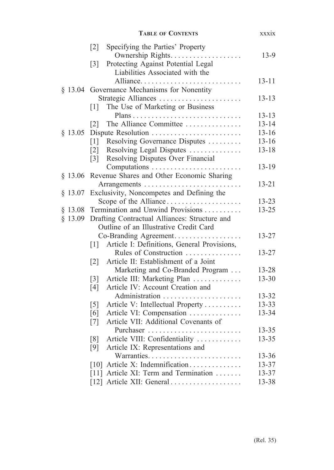|           | <b>TABLE OF CONTENTS</b>                                                                    | xxxix              |
|-----------|---------------------------------------------------------------------------------------------|--------------------|
|           | Specifying the Parties' Property<br>$\lceil 2 \rceil$<br>Ownership Rights.                  | $13-9$             |
|           | Protecting Against Potential Legal<br>$\lceil 3 \rceil$<br>Liabilities Associated with the  |                    |
| $§$ 13.04 | Alliance<br>Governance Mechanisms for Nonentity                                             | $13 - 11$          |
|           | Strategic Alliances                                                                         | $13 - 13$          |
|           | The Use of Marketing or Business<br>$\lceil 1 \rceil$                                       |                    |
|           | The Alliance Committee                                                                      | 13-13<br>$13 - 14$ |
| $§$ 13.05 | $\lceil 2 \rceil$                                                                           | $13 - 16$          |
|           | Resolving Governance Disputes                                                               | $13 - 16$          |
|           | $\lceil 1 \rceil$<br>Resolving Legal Disputes<br>$\lceil 2 \rceil$                          | $13 - 18$          |
|           | Resolving Disputes Over Financial<br>$\lceil 3 \rceil$                                      |                    |
|           | Computations                                                                                | $13 - 19$          |
| $§$ 13.06 | Revenue Shares and Other Economic Sharing                                                   |                    |
|           |                                                                                             | $13 - 21$          |
| $§$ 13.07 | Exclusivity, Noncompetes and Defining the                                                   |                    |
|           | Scope of the Alliance                                                                       | $13 - 23$          |
| § 13.08   | Termination and Unwind Provisions                                                           | $13 - 25$          |
| $§$ 13.09 | Drafting Contractual Alliances: Structure and                                               |                    |
|           | Outline of an Illustrative Credit Card                                                      |                    |
|           | Co-Branding Agreement                                                                       | $13 - 27$          |
|           | Article I: Definitions, General Provisions,<br> 1                                           |                    |
|           | Rules of Construction                                                                       | $13 - 27$          |
|           | Article II: Establishment of a Joint<br>$\lceil 2 \rceil$                                   |                    |
|           | Marketing and Co-Branded Program                                                            | 13-28<br>$13 - 30$ |
|           | Article III: Marketing Plan<br>$\lceil 3 \rceil$<br>Article IV: Account Creation and<br>[4] |                    |
|           | Administration                                                                              | 13-32              |
|           | Article V: Intellectual Property<br>$\lceil 5 \rceil$                                       | 13-33              |
|           | Article VI: Compensation<br>[6]                                                             | 13-34              |
|           | Article VII: Additional Covenants of<br>$\lceil 7 \rceil$                                   |                    |
|           | Purchaser                                                                                   | $13 - 35$          |
|           | Article VIII: Confidentiality<br>$\lceil 8 \rceil$                                          | $13 - 35$          |
|           | [9]<br>Article IX: Representations and                                                      |                    |
|           |                                                                                             | 13-36              |
|           | [10] Article X: Indemnification                                                             | 13-37              |
|           | [11] Article XI: Term and Termination                                                       | 13-37              |
|           | [12] Article XII: General                                                                   | 13-38              |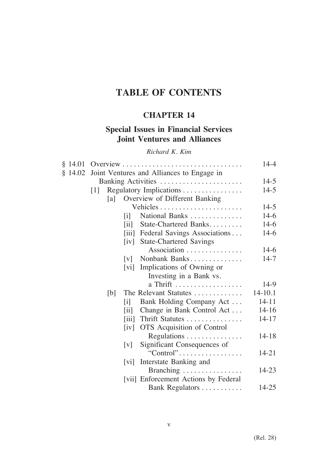# **TABLE OF CONTENTS**

# **CHAPTER 14**

# **Special Issues in Financial Services Joint Ventures and Alliances**

### *Richard K. Kim*

| § 14.01 |     |                              |                                           | 14-4    |
|---------|-----|------------------------------|-------------------------------------------|---------|
| § 14.02 |     |                              | Joint Ventures and Alliances to Engage in |         |
|         |     |                              | Banking Activities                        | $14-5$  |
|         | 1   |                              | Regulatory Implications                   | $14-5$  |
|         | [a] |                              | Overview of Different Banking             |         |
|         |     |                              |                                           | $14-5$  |
|         |     | $\mathbf{ii}$                | National Banks                            | $14-6$  |
|         |     | $\overline{\text{iii}}$      | State-Chartered Banks                     | $14-6$  |
|         |     |                              | [iii] Federal Savings Associations        | $14-6$  |
|         |     | iv                           | <b>State-Chartered Savings</b>            |         |
|         |     |                              | Association                               | $14-6$  |
|         |     | v                            | Nonbank Banks                             | $14-7$  |
|         |     | vi                           | Implications of Owning or                 |         |
|         |     |                              | Investing in a Bank vs.                   |         |
|         |     |                              | a Thrift                                  | 14-9    |
|         | [b] |                              | The Relevant Statutes                     | 14-10.1 |
|         |     | lil                          | Bank Holding Company Act                  | 14-11   |
|         |     | $\left  \mathrm{ii} \right $ | Change in Bank Control Act                | $14-16$ |
|         |     | $\left  \right $             | Thrift Statutes                           | 14-17   |
|         |     | $\lceil iv \rceil$           | OTS Acquisition of Control                |         |
|         |     |                              | Regulations                               | 14-18   |
|         |     | $\lceil v \rceil$            | Significant Consequences of               |         |
|         |     |                              | "Control"                                 | 14-21   |
|         |     | vi                           | Interstate Banking and                    |         |
|         |     |                              | Branching                                 | 14-23   |
|         |     |                              | [vii] Enforcement Actions by Federal      |         |
|         |     |                              | Bank Regulators                           | 14-25   |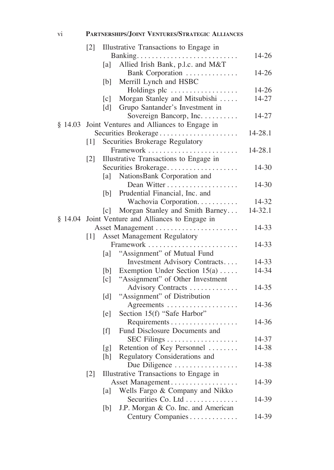## vi **Partnerships/Joint Ventures/Strategic Alliances**

|         | $\lceil 2 \rceil$ |     | Illustrative Transactions to Engage in           |         |
|---------|-------------------|-----|--------------------------------------------------|---------|
|         |                   |     |                                                  | 14-26   |
|         |                   | a   | Allied Irish Bank, p.l.c. and M&T                |         |
|         |                   |     | Bank Corporation                                 | 14-26   |
|         |                   | [b] | Merrill Lynch and HSBC                           |         |
|         |                   |     | Holdings plc                                     | 14-26   |
|         |                   | [c] | Morgan Stanley and Mitsubishi                    | 14-27   |
|         |                   | [d] | Grupo Santander's Investment in                  |         |
|         |                   |     | Sovereign Bancorp, Inc.                          | 14-27   |
| \$14.03 |                   |     | Joint Ventures and Alliances to Engage in        |         |
|         |                   |     | Securities Brokerage                             | 14-28.1 |
|         | $[1]$             |     | Securities Brokerage Regulatory                  |         |
|         |                   |     | Framework                                        | 14-28.1 |
|         | $[2]$             |     | Illustrative Transactions to Engage in           |         |
|         |                   |     | Securities Brokerage                             | 14-30   |
|         |                   | [a] | NationsBank Corporation and                      |         |
|         |                   |     |                                                  | 14-30   |
|         |                   |     | [b] Prudential Financial, Inc. and               |         |
|         |                   |     | Wachovia Corporation                             | 14-32   |
|         |                   | [c] | Morgan Stanley and Smith Barney                  | 14-32.1 |
|         |                   |     | § 14.04 Joint Venture and Alliances to Engage in |         |
|         |                   |     | Asset Management                                 | 14-33   |
|         | $\lceil 1 \rceil$ |     | <b>Asset Management Regulatory</b>               |         |
|         |                   |     | Framework                                        | 14-33   |
|         |                   | a   | "Assignment" of Mutual Fund                      |         |
|         |                   |     | Investment Advisory Contracts                    | 14-33   |
|         |                   | [b] | Exemption Under Section $15(a) \ldots$ .         | 14-34   |
|         |                   | [c] | "Assignment" of Other Investment                 |         |
|         |                   |     | Advisory Contracts                               | 14-35   |
|         |                   | [d] | "Assignment" of Distribution                     |         |
|         |                   |     | Agreements                                       | 14-36   |
|         |                   | [e] | Section 15(f) "Safe Harbor"                      |         |
|         |                   |     | Requirements                                     | 14-36   |
|         |                   | [f] | Fund Disclosure Documents and                    |         |
|         |                   |     |                                                  | 14-37   |
|         |                   | [g] | Retention of Key Personnel                       | 14-38   |
|         |                   | [h] | Regulatory Considerations and                    |         |
|         |                   |     | Due Diligence<br>.                               | 14-38   |
|         | $[2]$             |     | Illustrative Transactions to Engage in           |         |
|         |                   |     | Asset Management                                 | 14-39   |
|         |                   | a   | Wells Fargo & Company and Nikko                  |         |
|         |                   |     | Securities Co. Ltd                               | 14-39   |
|         |                   | [b] | J.P. Morgan & Co. Inc. and American              |         |
|         |                   |     | Century Companies                                | 14-39   |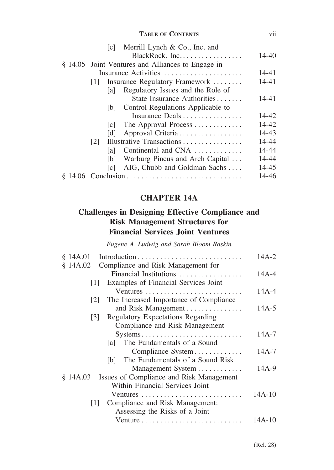#### **Table of Contents** vii

|     |     | [c] Merrill Lynch & Co., Inc. and                 |       |
|-----|-----|---------------------------------------------------|-------|
|     |     | BlackRock, Inc                                    | 14-40 |
|     |     | § 14.05 Joint Ventures and Alliances to Engage in |       |
|     |     | Insurance Activities                              | 14-41 |
| 111 |     | Insurance Regulatory Framework                    | 14-41 |
|     | lal | Regulatory Issues and the Role of                 |       |
|     |     | State Insurance Authorities                       | 14-41 |
|     | 1b1 | Control Regulations Applicable to                 |       |
|     |     | Insurance Deals                                   | 14-42 |
|     | c   | The Approval Process                              | 14-42 |
|     | Idl | Approval Criteria                                 | 14-43 |
| 2   |     | Illustrative Transactions                         | 14-44 |
|     | lal | Continental and CNA                               | 14-44 |
|     | [b] | Warburg Pincus and Arch Capital                   | 14-44 |
|     | c   | AIG, Chubb and Goldman Sachs                      | 14-45 |
|     |     |                                                   | 14-46 |
|     |     |                                                   |       |

# **CHAPTER 14A**

# **Challenges in Designing Effective Compliance and Risk Management Structures for Financial Services Joint Ventures**

*Eugene A. Ludwig and Sarah Bloom Raskin*

| \$14A.01                                                          | $14A-2$   |
|-------------------------------------------------------------------|-----------|
| Compliance and Risk Management for<br>\$14A.02                    |           |
| Financial Institutions                                            | $14A - 4$ |
| Examples of Financial Services Joint<br> 1                        |           |
|                                                                   | $14A - 4$ |
| The Increased Importance of Compliance<br> 2                      |           |
| and Risk Management                                               | $14A-5$   |
| <b>Regulatory Expectations Regarding</b><br> 3                    |           |
| Compliance and Risk Management                                    |           |
| Systems                                                           | $14A - 7$ |
| The Fundamentals of a Sound<br>lal -                              |           |
| Compliance System                                                 | $14A - 7$ |
| [b] The Fundamentals of a Sound Risk                              |           |
| Management System                                                 | $14A-9$   |
| Issues of Compliance and Risk Management<br>\$14A.03              |           |
| Within Financial Services Joint                                   |           |
| Ventures                                                          | 14A-10    |
| Compliance and Risk Management:<br> 1                             |           |
| Assessing the Risks of a Joint                                    |           |
| Venture $\dots\dots\dots\dots\dots\dots\dots\dots\dots\dots\dots$ | $14A-10$  |
|                                                                   |           |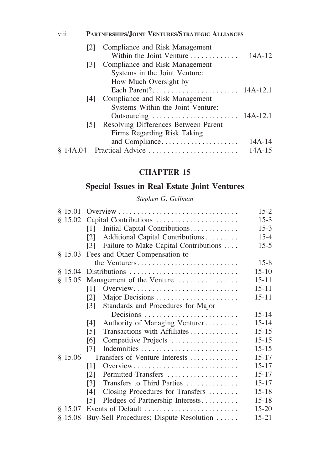### [2] Compliance and Risk Management Within the Joint Venture. . . 14A-12 [3] Compliance and Risk Management Systems in the Joint Venture: How Much Oversight by Each Parent?. . . 14A-12.1 [4] Compliance and Risk Management Systems Within the Joint Venture: Outsourcing. . . 14A-12.1 [5] Resolving Differences Between Parent Firms Regarding Risk Taking and Compliance. . 14A-14 § 14A.04 Practical Advice. . . 14A-15 viii **Partnerships/Joint Ventures/Strategic Alliances**

## **CHAPTER 15**

### **Special Issues in Real Estate Joint Ventures**

#### *Stephen G. Gellman*

| § 15.01 |                                                         | $15 - 2$  |
|---------|---------------------------------------------------------|-----------|
| \$15.02 | Capital Contributions                                   | $15-3$    |
|         | Initial Capital Contributions.<br>[1]                   | $15-3$    |
|         | Additional Capital Contributions<br> 2                  | $15 - 4$  |
|         | Failure to Make Capital Contributions<br>[3]            | $15-5$    |
| § 15.03 | Fees and Other Compensation to                          |           |
|         | the Venturers                                           | $15 - 8$  |
|         |                                                         | $15 - 10$ |
| \$15.05 | Management of the Venture                               | $15 - 11$ |
|         | Overview<br>[1]                                         | $15 - 11$ |
|         | Major Decisions<br><u>121</u>                           | $15 - 11$ |
|         | Standards and Procedures for Major<br>$\lceil 3 \rceil$ |           |
|         | Decisions                                               | $15 - 14$ |
|         | Authority of Managing Venturer<br>[4]                   | $15 - 14$ |
|         | Transactions with Affiliates<br>$\lceil 5 \rceil$       | $15 - 15$ |
|         | Competitive Projects<br>[6]                             | $15 - 15$ |
|         | [7]                                                     | $15 - 15$ |
| \$15.06 | Transfers of Venture Interests                          | $15 - 17$ |
|         | Overview<br>$[1]$                                       | $15 - 17$ |
|         | Permitted Transfers<br>[2]                              | $15 - 17$ |
|         | Transfers to Third Parties<br>$\lceil 3 \rceil$         | $15 - 17$ |
|         | Closing Procedures for Transfers<br>14 I                | $15 - 18$ |
|         | Pledges of Partnership Interests<br>[5]                 | $15 - 18$ |
| § 15.07 | Events of Default                                       | $15 - 20$ |
| \$15.08 | Buy-Sell Procedures; Dispute Resolution                 | $15 - 21$ |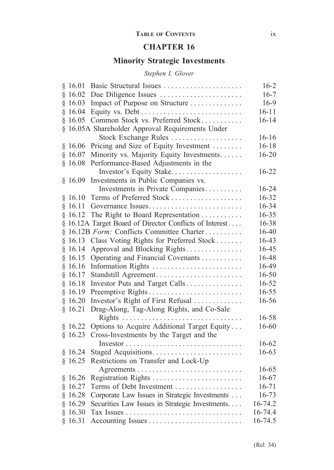### **Table of Contents** ix

# **CHAPTER 16**

# **Minority Strategic Investments**

## *Stephen I. Glover*

| § | 16.01   | Basic Structural Issues                                 | $16 - 2$  |
|---|---------|---------------------------------------------------------|-----------|
|   | \$16.02 | Due Diligence Issues                                    | $16 - 7$  |
|   | \$16.03 | Impact of Purpose on Structure                          | 16-9      |
|   | \$16.04 |                                                         | $16 - 11$ |
|   | \$16.05 | Common Stock vs. Preferred Stock                        | $16 - 14$ |
| § |         | 16.05A Shareholder Approval Requirements Under          |           |
|   |         | Stock Exchange Rules                                    | $16 - 16$ |
| § | 16.06   | Pricing and Size of Equity Investment                   | $16 - 18$ |
|   | \$16.07 | Minority vs. Majority Equity Investments                | $16 - 20$ |
|   | \$16.08 | Performance-Based Adjustments in the                    |           |
|   |         | Investor's Equity Stake                                 | $16 - 22$ |
|   | \$16.09 | Investments in Public Companies vs.                     |           |
|   |         | Investments in Private Companies                        | 16-24     |
| § | 16.10   | Terms of Preferred Stock                                | 16-32     |
|   | \$16.11 | Governance Issues                                       | 16-34     |
|   | § 16.12 | The Right to Board Representation                       | 16-35     |
|   |         | § 16.12A Target Board of Director Conflicts of Interest | 16-38     |
|   |         | § 16.12B Form: Conflicts Committee Charter              | 16-40     |
|   | § 16.13 | Class Voting Rights for Preferred Stock                 | 16-43     |
| § | 16.14   | Approval and Blocking Rights                            | 16-45     |
| § | 16.15   | Operating and Financial Covenants                       | 16-48     |
| § | 16.16   | Information Rights                                      | 16-49     |
|   | § 16.17 |                                                         | 16-50     |
|   | § 16.18 | Investor Puts and Target Calls                          | 16-52     |
|   | \$16.19 | Preemptive Rights                                       | 16-55     |
|   | \$16.20 | Investor's Right of First Refusal                       | 16-56     |
|   | \$16.21 | Drag-Along, Tag-Along Rights, and Co-Sale               |           |
|   |         |                                                         | 16-58     |
|   | § 16.22 | Options to Acquire Additional Target Equity             | 16-60     |
|   | § 16.23 | Cross-Investments by the Target and the                 |           |
|   |         |                                                         | 16-62     |
|   | \$16.24 | Staged Acquisitions                                     | 16-63     |
|   | \$16.25 | Restrictions on Transfer and Lock-Up                    |           |
|   |         |                                                         | 16-65     |
|   | \$16.26 |                                                         | 16-67     |
|   | \$16.27 | Terms of Debt Investment                                | $16 - 71$ |
|   | \$16.28 | Corporate Law Issues in Strategic Investments           | $16 - 73$ |
|   | \$16.29 | Securities Law Issues in Strategic Investments          | 16-74.2   |
| § | 16.30   |                                                         | 16-74.4   |
|   | \$16.31 |                                                         | 16-74.5   |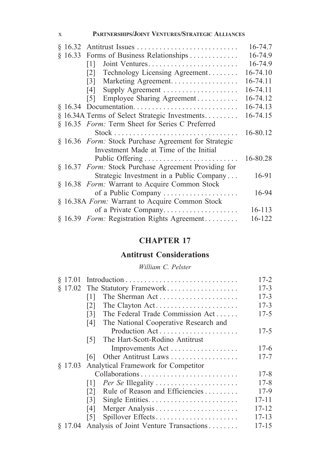### x **Partnerships/Joint Ventures/Strategic Alliances**

|        |                                                                                 | 16-74.7  |
|--------|---------------------------------------------------------------------------------|----------|
| §16.33 | Forms of Business Relationships                                                 | 16-74.9  |
|        | Joint Ventures<br>$[1]$                                                         | 16-74.9  |
|        | Technology Licensing Agreement<br> 2                                            | 16-74.10 |
|        | Marketing Agreement.<br>$\lceil 3 \rceil$                                       | 16-74.11 |
|        | Supply Agreement<br>14 I                                                        | 16-74.11 |
|        | Employee Sharing Agreement<br>151                                               | 16-74.12 |
|        |                                                                                 | 16-74.13 |
|        | § 16.34A Terms of Select Strategic Investments                                  | 16-74.15 |
|        | § 16.35 Form: Term Sheet for Series C Preferred                                 |          |
|        | $Stock \dots \dots \dots \dots \dots \dots \dots \dots \dots \dots \dots \dots$ | 16-80.12 |
|        | § 16.36 Form: Stock Purchase Agreement for Strategic                            |          |
|        | Investment Made at Time of the Initial                                          |          |
|        |                                                                                 | 16-80.28 |
|        | § 16.37 Form: Stock Purchase Agreement Providing for                            |          |
|        | Strategic Investment in a Public Company                                        | 16-91    |
|        | § 16.38 Form: Warrant to Acquire Common Stock                                   |          |
|        | of a Public Company                                                             | 16-94    |
|        | § 16.38A Form: Warrant to Acquire Common Stock                                  |          |
|        | of a Private Company                                                            | 16-113   |
|        | § 16.39 Form: Registration Rights Agreement                                     | 16-122   |

# **CHAPTER 17**

# **Antitrust Considerations**

## *William C. Pelster*

| \$17.01 |                                              | $17 - 2$  |
|---------|----------------------------------------------|-----------|
|         | § 17.02 The Statutory Framework              | $17 - 3$  |
|         | The Sherman Act<br>[1]                       | $17 - 3$  |
|         | The Clayton Act<br>121                       | $17 - 3$  |
|         | The Federal Trade Commission Act<br>131      | $17 - 5$  |
|         | The National Cooperative Research and<br>[4] |           |
|         | Production Act                               | $17 - 5$  |
|         | The Hart-Scott-Rodino Antitrust<br>151       |           |
|         | Improvements Act                             | $17-6$    |
|         | Other Antitrust Laws<br>161                  | $17 - 7$  |
| \$17.03 | Analytical Framework for Competitor          |           |
|         |                                              | $17 - 8$  |
|         | Per Se Illegality<br>111                     | $17 - 8$  |
|         | Rule of Reason and Efficiencies<br>[2]       | $17-9$    |
|         | Single Entities<br>131                       | $17 - 11$ |
|         | Merger Analysis<br>14 I                      | $17 - 12$ |
|         | Spillover Effects<br>151                     | $17 - 13$ |
| \$17.04 | Analysis of Joint Venture Transactions       | $17 - 15$ |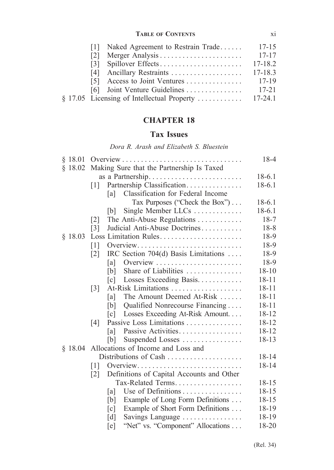### **Table of Contents** xi

|   | [1] Naked Agreement to Restrain Trade | $17 - 15$   |
|---|---------------------------------------|-------------|
| 2 |                                       | $17 - 17$   |
|   |                                       | 17-18.2     |
|   |                                       | $17 - 18.3$ |
|   |                                       | 17-19       |
|   | [6] Joint Venture Guidelines          | $17 - 21$   |
|   |                                       |             |

# **CHAPTER 18**

## **Tax Issues**

*Dora R. Arash and Elizabeth S. Bluestein*

| § 18.01 |                                                                | 18-4      |
|---------|----------------------------------------------------------------|-----------|
| \$18.02 | Making Sure that the Partnership Is Taxed                      |           |
|         |                                                                | $18-6.1$  |
|         | Partnership Classification<br>$\lceil 1 \rceil$                | $18-6.1$  |
|         | Classification for Federal Income<br>[a]                       |           |
|         | Tax Purposes ("Check the Box")                                 | $18-6.1$  |
|         | Single Member LLCs<br>IbI                                      | $18-6.1$  |
|         | The Anti-Abuse Regulations<br>$\lceil 2 \rceil$                | $18-7$    |
|         | Judicial Anti-Abuse Doctrines<br>$\lceil 3 \rceil$             | $18 - 8$  |
| \$18.03 | Loss Limitation Rules                                          | 18-9      |
|         | $\lceil 1 \rceil$<br>Overview                                  | 18-9      |
|         | IRC Section 704(d) Basis Limitations<br>$\lceil 2 \rceil$      | 18-9      |
|         | Overview<br>[a]                                                | 18-9      |
|         | Share of Liabilities<br>[b]                                    | $18 - 10$ |
|         | Losses Exceeding Basis<br>$\lceil c \rceil$                    | $18 - 11$ |
|         | At-Risk Limitations<br>$\lceil 3 \rceil$                       | $18 - 11$ |
|         | The Amount Deemed At-Risk<br>[a]                               | $18 - 11$ |
|         | Qualified Nonrecourse Financing<br>[b]                         | $18 - 11$ |
|         | Losses Exceeding At-Risk Amount<br>$\lceil c \rceil$           | $18 - 12$ |
|         | Passive Loss Limitations<br>[4]                                | $18 - 12$ |
|         | Passive Activities<br>[a]                                      | $18 - 12$ |
|         | Suspended Losses<br>[b]                                        | $18 - 13$ |
|         | § 18.04 Allocations of Income and Loss and                     |           |
|         | Distributions of Cash                                          | $18 - 14$ |
|         | $\lceil 1 \rceil$<br>Overview                                  | $18 - 14$ |
|         | Definitions of Capital Accounts and Other<br>$\lceil 2 \rceil$ |           |
|         | Tax-Related Terms                                              | $18 - 15$ |
|         | Use of Definitions<br>[a]                                      | $18 - 15$ |
|         | Example of Long Form Definitions<br>[b]                        | 18-15     |
|         | Example of Short Form Definitions<br>$\lceil c \rceil$         | 18-19     |
|         | [d]<br>Savings Language                                        | 18-19     |
|         | "Net" vs. "Component" Allocations<br>[e]                       | 18-20     |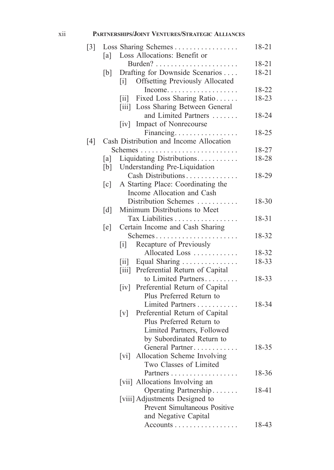### xii **Partnerships/Joint Ventures/Strategic Alliances**

| $[3]$             |                   | Loss Sharing Schemes                                            | 18-21     |
|-------------------|-------------------|-----------------------------------------------------------------|-----------|
|                   | [a]               | Loss Allocations: Benefit or                                    |           |
|                   |                   |                                                                 | 18-21     |
|                   | [b]               | Drafting for Downside Scenarios                                 | $18 - 21$ |
|                   |                   | <b>Offsetting Previously Allocated</b><br>$\lceil i \rceil$     |           |
|                   |                   | Income                                                          | 18-22     |
|                   |                   | Fixed Loss Sharing Ratio<br>$\left\lceil \text{i} \right\rceil$ | 18-23     |
|                   |                   | [iii] Loss Sharing Between General                              |           |
|                   |                   | and Limited Partners                                            | 18-24     |
|                   |                   | Impact of Nonrecourse<br> iv                                    |           |
|                   |                   | Financing                                                       | 18-25     |
| $\lceil 4 \rceil$ |                   | Cash Distribution and Income Allocation                         |           |
|                   |                   |                                                                 | 18-27     |
|                   | [a]               | Liquidating Distributions.                                      | 18-28     |
|                   | [b]               | Understanding Pre-Liquidation                                   |           |
|                   |                   | Cash Distributions                                              | 18-29     |
|                   | $\lceil c \rceil$ | A Starting Place: Coordinating the                              |           |
|                   |                   | Income Allocation and Cash                                      |           |
|                   |                   | Distribution Schemes                                            | 18-30     |
|                   | $\lceil d \rceil$ | Minimum Distributions to Meet                                   |           |
|                   |                   | Tax Liabilities                                                 | 18-31     |
|                   | [e]               | Certain Income and Cash Sharing                                 |           |
|                   |                   | Schemes                                                         | 18-32     |
|                   |                   | Recapture of Previously<br>$\lceil i \rceil$                    |           |
|                   |                   | Allocated Loss                                                  | 18-32     |
|                   |                   | [ii] Equal Sharing                                              | 18-33     |
|                   |                   | [iii] Preferential Return of Capital                            |           |
|                   |                   | to Limited Partners                                             | 18-33     |
|                   |                   | [iv] Preferential Return of Capital                             |           |
|                   |                   | Plus Preferred Return to                                        |           |
|                   |                   | Limited Partners                                                | 18-34     |
|                   |                   | Preferential Return of Capital<br>$\lceil v \rceil$             |           |
|                   |                   | Plus Preferred Return to                                        |           |
|                   |                   | Limited Partners, Followed                                      |           |
|                   |                   | by Subordinated Return to                                       |           |
|                   |                   | General Partner                                                 | 18-35     |
|                   |                   | [vi] Allocation Scheme Involving                                |           |
|                   |                   | Two Classes of Limited                                          |           |
|                   |                   | Partners                                                        | 18-36     |
|                   |                   | [vii] Allocations Involving an                                  |           |
|                   |                   | Operating Partnership                                           | 18-41     |
|                   |                   | [viii] Adjustments Designed to                                  |           |
|                   |                   | Prevent Simultaneous Positive                                   |           |
|                   |                   | and Negative Capital                                            |           |
|                   |                   | Accounts                                                        | 18-43     |
|                   |                   |                                                                 |           |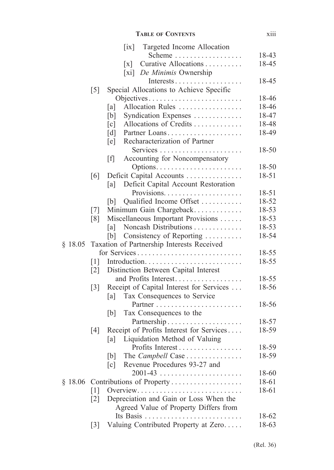|         |                   | <b>TABLE OF CONTENTS</b>                                                      | xiii      |
|---------|-------------------|-------------------------------------------------------------------------------|-----------|
|         |                   | $\left[ \text{ix} \right]$<br>Targeted Income Allocation                      |           |
|         |                   | Scheme                                                                        | 18-43     |
|         |                   | Curative Allocations<br>$\lceil x \rceil$<br>[xi] <i>De Minimis</i> Ownership | 18-45     |
|         | $\lceil 5 \rceil$ | Special Allocations to Achieve Specific                                       | 18-45     |
|         |                   | Objectives                                                                    | 18-46     |
|         |                   | Allocation Rules<br>[a]                                                       | 18-46     |
|         |                   | Syndication Expenses<br>[b]                                                   | 18-47     |
|         |                   | Allocations of Credits<br>$\lceil c \rceil$                                   | 18-48     |
|         |                   | $\lceil d \rceil$<br>Partner Loans                                            | 18-49     |
|         |                   | Recharacterization of Partner<br>[e]                                          |           |
|         |                   | Services                                                                      | 18-50     |
|         |                   | Accounting for Noncompensatory<br>[f]                                         |           |
|         |                   |                                                                               | 18-50     |
|         | [6]               | Deficit Capital Accounts                                                      | $18 - 51$ |
|         |                   | Deficit Capital Account Restoration<br>[a]                                    | 18-51     |
|         |                   | Qualified Income Offset<br>[b]                                                | 18-52     |
|         | $[7]$             | Minimum Gain Chargeback                                                       | 18-53     |
|         | [8]               | Miscellaneous Important Provisions                                            | 18-53     |
|         |                   | Noncash Distributions<br> a                                                   | 18-53     |
|         |                   | Consistency of Reporting<br>[b]                                               | 18-54     |
| \$18.05 |                   | Taxation of Partnership Interests Received                                    |           |
|         |                   | for Services                                                                  | 18-55     |
|         | $\lceil 1 \rceil$ |                                                                               | 18-55     |
|         | $\lceil 2 \rceil$ | Distinction Between Capital Interest                                          |           |
|         |                   | and Profits Interest                                                          | 18-55     |
|         | $\lceil 3 \rceil$ | Receipt of Capital Interest for Services                                      | 18-56     |
|         |                   | Tax Consequences to Service<br>[a]                                            |           |
|         |                   | Partner<br>.                                                                  | 18-56     |
|         |                   | Tax Consequences to the<br>[b]                                                |           |
|         |                   |                                                                               | 18-57     |
|         | [4]               | Receipt of Profits Interest for Services                                      | 18-59     |
|         |                   | [a]<br>Liquidation Method of Valuing                                          |           |
|         |                   | Profits Interest                                                              | 18-59     |
|         |                   | The Campbell Case<br>[b]                                                      | 18-59     |
|         |                   | Revenue Procedures 93-27 and<br>$\lceil c \rceil$                             |           |
|         |                   | $2001 - 43$                                                                   | 18-60     |
|         |                   | § 18.06 Contributions of Property                                             | 18-61     |
|         | $\lceil 1 \rceil$ | Overview                                                                      | 18-61     |
|         | $\lceil 2 \rceil$ | Depreciation and Gain or Loss When the                                        |           |
|         |                   | Agreed Value of Property Differs from<br>Its Basis                            | 18-62     |
|         |                   | Valuing Contributed Property at Zero                                          | 18-63     |
|         | $\lceil 3 \rceil$ |                                                                               |           |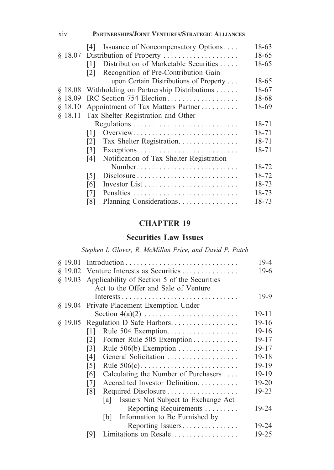| xiv     | <b>PARTNERSHIPS/JOINT VENTURES/STRATEGIC ALLIANCES</b>     |       |  |
|---------|------------------------------------------------------------|-------|--|
|         | Issuance of Noncompensatory Options<br> 4                  | 18-63 |  |
|         | § 18.07 Distribution of Property                           | 18-65 |  |
|         | Distribution of Marketable Securities<br>$\lceil 1 \rceil$ | 18-65 |  |
|         | Recognition of Pre-Contribution Gain<br>$\lceil 2 \rceil$  |       |  |
|         | upon Certain Distributions of Property                     | 18-65 |  |
| § 18.08 | Withholding on Partnership Distributions                   | 18-67 |  |
| \$18.09 | IRC Section 754 Election                                   | 18-68 |  |
| \$18.10 | Appointment of Tax Matters Partner                         | 18-69 |  |
| \$18.11 | Tax Shelter Registration and Other                         |       |  |
|         |                                                            | 18-71 |  |
|         | Overview<br>111                                            | 18-71 |  |
|         | Tax Shelter Registration<br>$\lceil 2 \rceil$              | 18-71 |  |
|         | 131                                                        | 18-71 |  |
|         | Notification of Tax Shelter Registration<br>[4]            |       |  |
|         | Number                                                     | 18-72 |  |
|         | [5]<br>Disclosure                                          | 18-72 |  |
|         | [6]                                                        | 18-73 |  |
|         | $[7]$                                                      | 18-73 |  |
|         | Planning Considerations<br>[8]                             | 18-73 |  |

### **Securities Law Issues**

*Stephen I. Glover, R. McMillan Price, and David P. Patch*

|                                                      | $19 - 4$  |
|------------------------------------------------------|-----------|
| § 19.02 Venture Interests as Securities              | 19-6      |
| § 19.03 Applicability of Section 5 of the Securities |           |
| Act to the Offer and Sale of Venture                 |           |
|                                                      | $19-9$    |
| § 19.04 Private Placement Exemption Under            |           |
|                                                      | $19 - 11$ |
| § 19.05 Regulation D Safe Harbors                    | $19-16$   |
| Rule 504 Exemption<br> 1                             | $19-16$   |
| Former Rule 505 Exemption<br> 2                      | $19 - 17$ |
| Rule 506(b) Exemption<br>131                         | $19 - 17$ |
| General Solicitation<br>[4]                          | 19-18     |
| Rule 506(c)<br>$\lceil 5 \rceil$                     | 19-19     |
| Calculating the Number of Purchasers<br>[6]          | 19-19     |
| Accredited Investor Definition<br>$[7]$              | 19-20     |
| Required Disclosure<br>$\lceil 8 \rceil$             | 19-23     |
| Issuers Not Subject to Exchange Act<br>lal           |           |
| Reporting Requirements                               | 19-24     |
| Information to Be Furnished by<br> b                 |           |
| Reporting Issuers                                    | 19-24     |
| Limitations on Resale<br>191                         | $19 - 25$ |
|                                                      |           |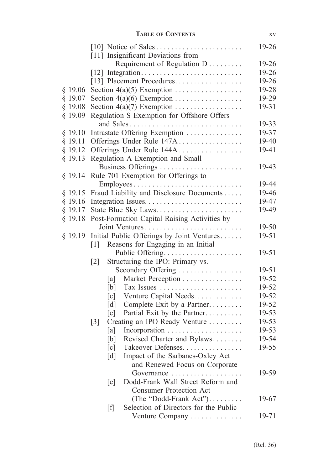|           |                                                         | $19-26$   |
|-----------|---------------------------------------------------------|-----------|
|           | [11] Insignificant Deviations from                      |           |
|           | Requirement of Regulation D                             | $19 - 26$ |
|           |                                                         | 19-26     |
|           | [13] Placement Procedures                               | 19-26     |
| \$19.06   |                                                         | 19-28     |
| $§$ 19.07 |                                                         | 19-29     |
| \$19.08   | Section $4(a)(7)$ Exemption                             | 19-31     |
| $§$ 19.09 | Regulation S Exemption for Offshore Offers              |           |
|           | and Sales                                               | 19-33     |
| $§$ 19.10 | Intrastate Offering Exemption                           | 19-37     |
| $§$ 19.11 | Offerings Under Rule 147A                               | 19-40     |
| $§$ 19.12 | Offerings Under Rule 144A                               | 19-41     |
| $§$ 19.13 | Regulation A Exemption and Small                        |           |
|           | Business Offerings                                      | 19-43     |
| \$19.14   | Rule 701 Exemption for Offerings to                     |           |
|           | Employees                                               | 19-44     |
| $§$ 19.15 | Fraud Liability and Disclosure Documents                | 19-46     |
| \$19.16   |                                                         | 19-47     |
| $§$ 19.17 | State Blue Sky Laws                                     | 19-49     |
| \$19.18   | Post-Formation Capital Raising Activities by            |           |
|           | Joint Ventures                                          | 19-50     |
| \$19.19   | Initial Public Offerings by Joint Ventures              | $19 - 51$ |
|           | Reasons for Engaging in an Initial<br>$\lceil 1 \rceil$ |           |
|           | Public Offering                                         | 19-51     |
|           | Structuring the IPO: Primary vs.<br>$\lceil 2 \rceil$   |           |
|           | Secondary Offering                                      | 19-51     |
|           | Market Perception<br>[a]                                | 19-52     |
|           | Tax Issues<br>[b]                                       | 19-52     |
|           | Venture Capital Needs<br>$\lceil c \rceil$              | 19-52     |
|           | Complete Exit by a Partner<br>[d]                       | 19-52     |
|           | Partial Exit by the Partner<br>[e]                      | 19-53     |
|           | Creating an IPO Ready Venture<br>$\lceil 3 \rceil$      | 19-53     |
|           | [a]                                                     | 19-53     |
|           | Revised Charter and Bylaws<br>[b]                       | 19-54     |
|           | Takeover Defenses.<br>[c]                               | 19-55     |
|           | $\lceil d \rceil$<br>Impact of the Sarbanes-Oxley Act   |           |
|           | and Renewed Focus on Corporate                          |           |
|           | Governance                                              | 19-59     |
|           | Dodd-Frank Wall Street Reform and<br>[e]                |           |
|           | <b>Consumer Protection Act</b>                          |           |
|           | (The "Dodd-Frank Act").                                 | 19-67     |
|           | Selection of Directors for the Public<br>$[f]$          |           |
|           | Venture Company                                         | 19-71     |
|           |                                                         |           |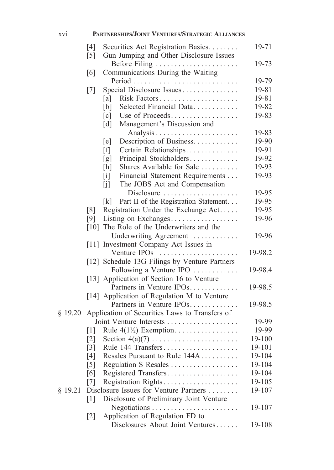### xvi **Partnerships/Joint Ventures/Strategic Alliances**

|           | [4]<br>$\lceil 5 \rceil$ | Securities Act Registration Basics<br>Gun Jumping and Other Disclosure Issues | 19-71   |
|-----------|--------------------------|-------------------------------------------------------------------------------|---------|
|           |                          |                                                                               | 19-73   |
|           | [6]                      | Before Filing<br>Communications During the Waiting                            |         |
|           |                          |                                                                               | 19-79   |
|           | $\lceil 7 \rceil$        | Special Disclosure Issues                                                     | 19-81   |
|           |                          | [a]                                                                           | 19-81   |
|           |                          | Selected Financial Data<br>[b]                                                | 19-82   |
|           |                          | Use of Proceeds<br>$\lceil c \rceil$                                          | 19-83   |
|           |                          | Management's Discussion and<br>$\lceil d \rceil$                              |         |
|           |                          |                                                                               | 19-83   |
|           |                          | Description of Business<br>[e]                                                | 19-90   |
|           |                          | Certain Relationships<br>[f]                                                  | 19-91   |
|           |                          | Principal Stockholders<br>[g]                                                 | 19-92   |
|           |                          | Shares Available for Sale<br>[h]                                              | 19-93   |
|           |                          | Financial Statement Requirements<br>$[1]$                                     | 19-93   |
|           |                          | The JOBS Act and Compensation<br>[j]                                          |         |
|           |                          | Disclosure                                                                    | 19-95   |
|           |                          | Part II of the Registration Statement<br>[k]                                  | 19-95   |
|           | $\lceil 8 \rceil$        | Registration Under the Exchange Act                                           | 19-95   |
|           | [9]                      | Listing on Exchanges                                                          | 19-96   |
|           |                          | [10] The Role of the Underwriters and the                                     |         |
|           |                          | Underwriting Agreement                                                        | 19-96   |
|           |                          | [11] Investment Company Act Issues in                                         |         |
|           |                          | Venture IPOs                                                                  | 19-98.2 |
|           |                          | [12] Schedule 13G Filings by Venture Partners                                 |         |
|           |                          | Following a Venture IPO                                                       | 19-98.4 |
|           |                          | [13] Application of Section 16 to Venture                                     |         |
|           |                          | Partners in Venture IPOs                                                      | 19-98.5 |
|           |                          | [14] Application of Regulation M to Venture                                   |         |
|           |                          | Partners in Venture IPOs                                                      | 19-98.5 |
| \$19.20   |                          | Application of Securities Laws to Transfers of                                |         |
|           |                          |                                                                               | 19-99   |
|           | $\lceil 1 \rceil$        | Rule $4(1\frac{1}{2})$ Exemption                                              | 19-99   |
|           | $\lceil 2 \rceil$        |                                                                               | 19-100  |
|           | $\lceil 3 \rceil$        |                                                                               | 19-101  |
|           | [4]                      | Resales Pursuant to Rule 144A                                                 | 19-104  |
|           | $\lceil 5 \rceil$        | Regulation S Resales                                                          | 19-104  |
|           | [6]                      | Registered Transfers                                                          | 19-104  |
|           | $\lceil 7 \rceil$        | Registration Rights                                                           | 19-105  |
| $§$ 19.21 |                          | Disclosure Issues for Venture Partners                                        | 19-107  |
|           | $\lceil 1 \rceil$        | Disclosure of Preliminary Joint Venture                                       |         |
|           |                          |                                                                               | 19-107  |
|           | $\lceil 2 \rceil$        | Application of Regulation FD to                                               |         |
|           |                          | Disclosures About Joint Ventures                                              | 19-108  |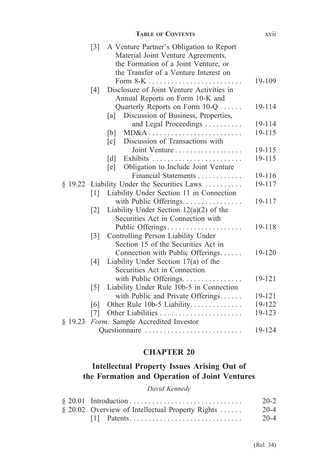|         |                   | <b>TABLE OF CONTENTS</b>                                                                                                                                        | xvii   |
|---------|-------------------|-----------------------------------------------------------------------------------------------------------------------------------------------------------------|--------|
|         | $\lceil 3 \rceil$ | A Venture Partner's Obligation to Report<br>Material Joint Venture Agreements,<br>the Formation of a Joint Venture, or<br>the Transfer of a Venture Interest on |        |
|         | [4]               | Disclosure of Joint Venture Activities in<br>Annual Reports on Form 10-K and                                                                                    | 19-109 |
|         |                   | Quarterly Reports on Form 10-Q<br>Discussion of Business, Properties,<br>[a]                                                                                    | 19-114 |
|         |                   | and Legal Proceedings                                                                                                                                           | 19-114 |
|         |                   | MD&A<br>[b]                                                                                                                                                     | 19-115 |
|         |                   | Discussion of Transactions with<br>[c]                                                                                                                          |        |
|         |                   | Joint Venture                                                                                                                                                   | 19-115 |
|         |                   | [d]                                                                                                                                                             | 19-115 |
|         |                   | Obligation to Include Joint Venture<br>[e]                                                                                                                      |        |
|         |                   | Financial Statements                                                                                                                                            | 19-116 |
|         |                   | § 19.22 Liability Under the Securities Laws                                                                                                                     | 19-117 |
|         | $\lceil 1 \rceil$ | Liability Under Section 11 in Connection                                                                                                                        |        |
|         |                   | with Public Offerings.                                                                                                                                          | 19-117 |
|         | $\lceil 2 \rceil$ | Liability Under Section $12(a)(2)$ of the                                                                                                                       |        |
|         |                   | Securities Act in Connection with                                                                                                                               |        |
|         |                   | Public Offerings                                                                                                                                                | 19-118 |
|         | $\lceil 3 \rceil$ | Controlling Person Liability Under                                                                                                                              |        |
|         |                   | Section 15 of the Securities Act in                                                                                                                             |        |
|         |                   | Connection with Public Offerings                                                                                                                                | 19-120 |
|         | [4]               | Liability Under Section $17(a)$ of the                                                                                                                          |        |
|         |                   | Securities Act in Connection                                                                                                                                    |        |
|         |                   | with Public Offerings.                                                                                                                                          | 19-121 |
|         | $\lceil 5 \rceil$ | Liability Under Rule 10b-5 in Connection                                                                                                                        |        |
|         |                   | with Public and Private Offerings                                                                                                                               | 19-121 |
|         | [6]               | Other Rule 10b-5 Liability                                                                                                                                      | 19-122 |
|         | $\lceil 7 \rceil$ |                                                                                                                                                                 | 19-123 |
| \$19.23 |                   | Form: Sample Accredited Investor                                                                                                                                |        |
|         |                   | Questionnaire                                                                                                                                                   | 19-124 |

# **Intellectual Property Issues Arising Out of the Formation and Operation of Joint Ventures**

### *David Kennedy*

|                                                  | $20 - 2$ |
|--------------------------------------------------|----------|
| § 20.02 Overview of Intellectual Property Rights | $20 - 4$ |
|                                                  | $20 - 4$ |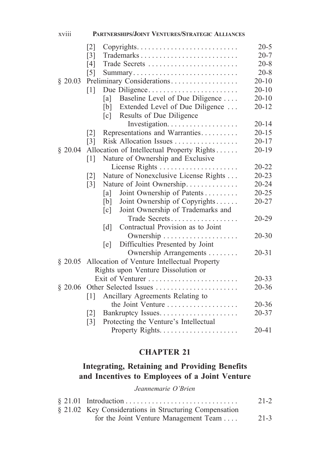| xviii   | PARTNERSHIPS/JOINT VENTURES/STRATEGIC ALLIANCES                                          |           |
|---------|------------------------------------------------------------------------------------------|-----------|
|         | $\lceil 2 \rceil$<br>$Copyrights. \dots \dots \dots \dots \dots \dots \dots \dots \dots$ | $20 - 5$  |
|         | $\lceil 3 \rceil$<br>Trademarks                                                          | $20 - 7$  |
|         | [4]<br>Trade Secrets                                                                     | $20 - 8$  |
|         | $\lceil 5 \rceil$<br>Summary                                                             | $20 - 8$  |
| \$20.03 | Preliminary Considerations                                                               | $20 - 10$ |
|         | [1]<br>Due Diligence                                                                     | $20 - 10$ |
|         | Baseline Level of Due Diligence<br>[a]                                                   | $20 - 10$ |
|         | Extended Level of Due Diligence<br>[b]                                                   | $20 - 12$ |
|         | Results of Due Diligence<br>$\lceil c \rceil$                                            |           |
|         |                                                                                          | $20 - 14$ |
|         | Representations and Warranties<br>$\lceil 2 \rceil$                                      | $20 - 15$ |
|         | Risk Allocation Issues<br>$\lceil 3 \rceil$                                              | $20 - 17$ |
| \$20.04 | Allocation of Intellectual Property Rights                                               | $20 - 19$ |
|         | Nature of Ownership and Exclusive<br>[1]                                                 |           |
|         | License Rights                                                                           | 20-22     |
|         | Nature of Nonexclusive License Rights<br>$\lceil 2 \rceil$                               | $20 - 23$ |
|         | Nature of Joint Ownership<br>$\lceil 3 \rceil$                                           | $20 - 24$ |
|         | Joint Ownership of Patents<br>[a]                                                        | $20 - 25$ |
|         | Joint Ownership of Copyrights<br>[b]                                                     | 20-27     |
|         | Joint Ownership of Trademarks and<br>$\lceil c \rceil$                                   |           |
|         | Trade Secrets                                                                            | 20-29     |
|         | Contractual Provision as to Joint<br>$\lceil d \rceil$                                   |           |
|         |                                                                                          | $20 - 30$ |
|         | Difficulties Presented by Joint<br>[e]                                                   | $20 - 31$ |
|         | Ownership Arrangements                                                                   |           |
|         | § 20.05 Allocation of Venture Intellectual Property                                      |           |
|         | Rights upon Venture Dissolution or                                                       | $20 - 33$ |
| \$20.06 | Other Selected Issues                                                                    | $20 - 36$ |
|         | [1]<br>Ancillary Agreements Relating to                                                  |           |
|         | the Joint Venture                                                                        | $20 - 36$ |
|         | $\lceil 2 \rceil$                                                                        | $20 - 37$ |
|         | Protecting the Venture's Intellectual<br>$\lceil 3 \rceil$                               |           |
|         |                                                                                          | $20 - 41$ |
|         |                                                                                          |           |

# **Integrating, Retaining and Providing Benefits and Incentives to Employees of a Joint Venture**

*Jeannemarie O'Brien*

|                                                        | $21 - 2$ |
|--------------------------------------------------------|----------|
| § 21.02 Key Considerations in Structuring Compensation |          |
| for the Joint Venture Management Team                  | $21 - 3$ |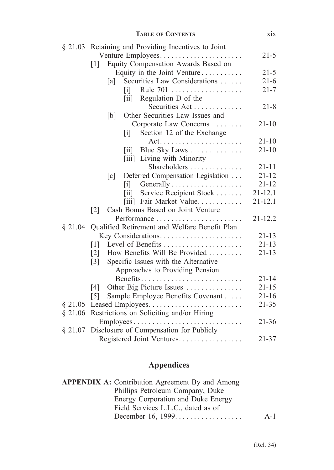|         | <b>TABLE OF CONTENTS</b>                                        | xix         |
|---------|-----------------------------------------------------------------|-------------|
| § 21.03 | Retaining and Providing Incentives to Joint                     |             |
|         | Venture Employees                                               | $21 - 5$    |
|         | Equity Compensation Awards Based on<br>$\lceil 1 \rceil$        |             |
|         | Equity in the Joint Venture                                     | $21 - 5$    |
|         | Securities Law Considerations<br>[a]                            | $21-6$      |
|         | Rule 701<br>$\lceil i \rceil$                                   | $21 - 7$    |
|         | [ii] Regulation D of the                                        |             |
|         | Securities Act                                                  | $21 - 8$    |
|         | Other Securities Law Issues and<br>[b]                          |             |
|         | Corporate Law Concerns                                          | $21 - 10$   |
|         | Section 12 of the Exchange<br>$\begin{bmatrix} i \end{bmatrix}$ |             |
|         |                                                                 | $21 - 10$   |
|         | Blue Sky Laws<br>$\left\lceil \text{i} \mathbf{i} \right\rceil$ | $21 - 10$   |
|         | [iii] Living with Minority                                      |             |
|         | Shareholders                                                    | $21 - 11$   |
|         | Deferred Compensation Legislation<br>$\lceil c \rceil$          | $21 - 12$   |
|         | $\begin{bmatrix} 1 \end{bmatrix}$                               | $21 - 12$   |
|         | Service Recipient Stock<br>$\lceil ii \rceil$                   | $21 - 12.1$ |
|         | [iii] Fair Market Value                                         | $21 - 12.1$ |
|         | Cash Bonus Based on Joint Venture<br>$\lceil 2 \rceil$          |             |
|         |                                                                 | $21 - 12.2$ |
| \$21.04 | Qualified Retirement and Welfare Benefit Plan                   |             |
|         | Key Considerations                                              | $21 - 13$   |
|         | Level of Benefits<br>$\lceil 1 \rceil$                          | $21 - 13$   |
|         | How Benefits Will Be Provided<br>$\lceil 2 \rceil$              | $21 - 13$   |
|         | Specific Issues with the Alternative<br>$\lceil 3 \rceil$       |             |
|         | Approaches to Providing Pension                                 |             |
|         | Benefits                                                        | $21 - 14$   |
|         | Other Big Picture Issues<br>$\lceil 4 \rceil$                   | $21 - 15$   |
|         | Sample Employee Benefits Covenant<br>$\lceil 5 \rceil$          | $21 - 16$   |
| \$21.05 |                                                                 | $21 - 35$   |
| \$21.06 | Restrictions on Soliciting and/or Hiring                        |             |
|         | Employees                                                       | $21 - 36$   |
| § 21.07 | Disclosure of Compensation for Publicly                         |             |
|         | Registered Joint Ventures                                       | $21 - 37$   |

# **Appendices**

| <b>APPENDIX A:</b> Contribution Agreement By and Among |       |
|--------------------------------------------------------|-------|
| Phillips Petroleum Company, Duke                       |       |
| Energy Corporation and Duke Energy                     |       |
| Field Services L.L.C., dated as of                     |       |
| December 16, 1999                                      | $A-1$ |
|                                                        |       |